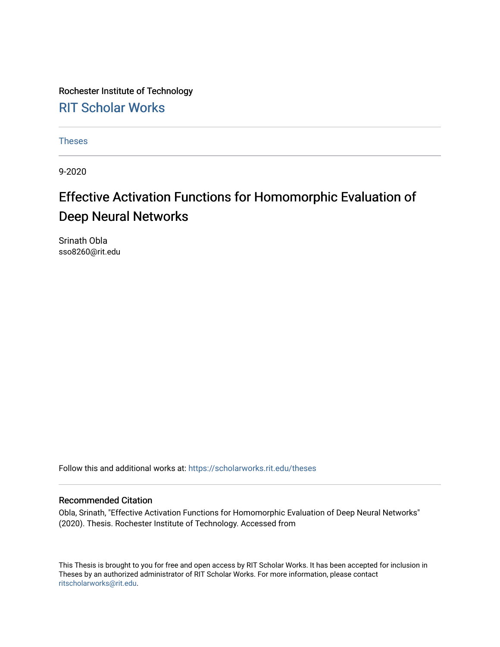Rochester Institute of Technology [RIT Scholar Works](https://scholarworks.rit.edu/)

[Theses](https://scholarworks.rit.edu/theses) 

9-2020

# Effective Activation Functions for Homomorphic Evaluation of Deep Neural Networks

Srinath Obla sso8260@rit.edu

Follow this and additional works at: [https://scholarworks.rit.edu/theses](https://scholarworks.rit.edu/theses?utm_source=scholarworks.rit.edu%2Ftheses%2F10593&utm_medium=PDF&utm_campaign=PDFCoverPages) 

### Recommended Citation

Obla, Srinath, "Effective Activation Functions for Homomorphic Evaluation of Deep Neural Networks" (2020). Thesis. Rochester Institute of Technology. Accessed from

This Thesis is brought to you for free and open access by RIT Scholar Works. It has been accepted for inclusion in Theses by an authorized administrator of RIT Scholar Works. For more information, please contact [ritscholarworks@rit.edu](mailto:ritscholarworks@rit.edu).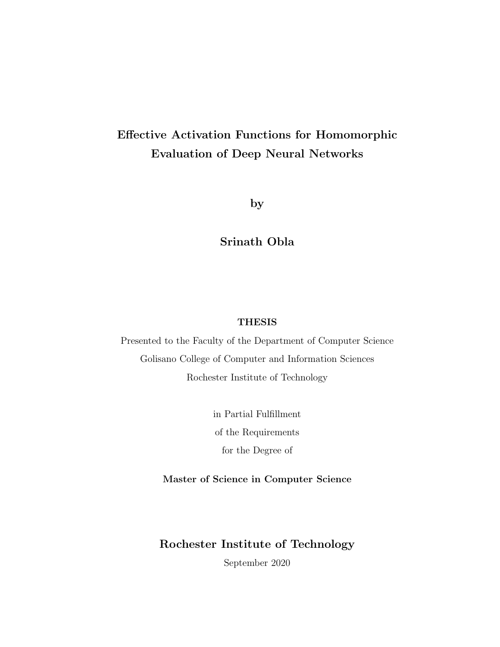# Effective Activation Functions for Homomorphic Evaluation of Deep Neural Networks

by

Srinath Obla

### THESIS

Presented to the Faculty of the Department of Computer Science Golisano College of Computer and Information Sciences Rochester Institute of Technology

> in Partial Fulfillment of the Requirements for the Degree of

Master of Science in Computer Science

## Rochester Institute of Technology

September 2020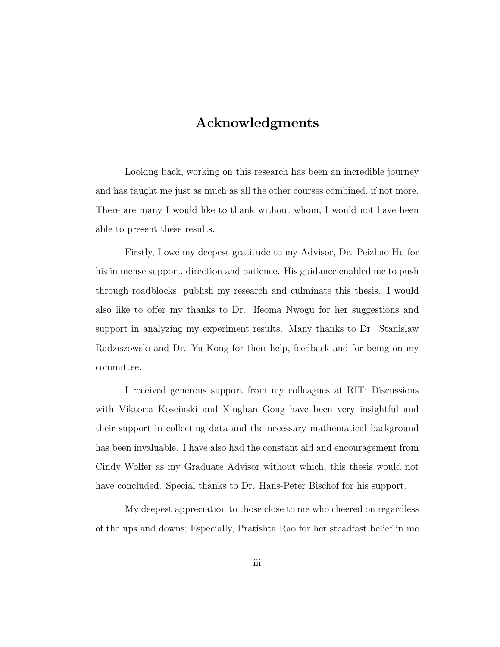# Acknowledgments

Looking back, working on this research has been an incredible journey and has taught me just as much as all the other courses combined, if not more. There are many I would like to thank without whom, I would not have been able to present these results.

Firstly, I owe my deepest gratitude to my Advisor, Dr. Peizhao Hu for his immense support, direction and patience. His guidance enabled me to push through roadblocks, publish my research and culminate this thesis. I would also like to offer my thanks to Dr. Ifeoma Nwogu for her suggestions and support in analyzing my experiment results. Many thanks to Dr. Stanislaw Radziszowski and Dr. Yu Kong for their help, feedback and for being on my committee.

I received generous support from my colleagues at RIT; Discussions with Viktoria Koscinski and Xinghan Gong have been very insightful and their support in collecting data and the necessary mathematical background has been invaluable. I have also had the constant aid and encouragement from Cindy Wolfer as my Graduate Advisor without which, this thesis would not have concluded. Special thanks to Dr. Hans-Peter Bischof for his support.

My deepest appreciation to those close to me who cheered on regardless of the ups and downs; Especially, Pratishta Rao for her steadfast belief in me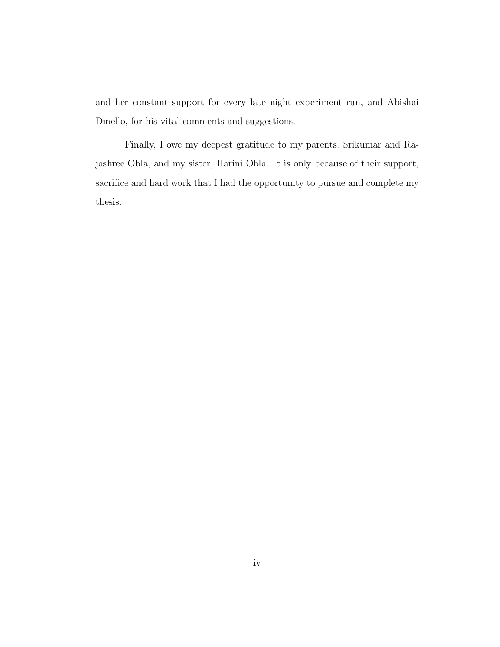and her constant support for every late night experiment run, and Abishai Dmello, for his vital comments and suggestions.

Finally, I owe my deepest gratitude to my parents, Srikumar and Rajashree Obla, and my sister, Harini Obla. It is only because of their support, sacrifice and hard work that I had the opportunity to pursue and complete my thesis.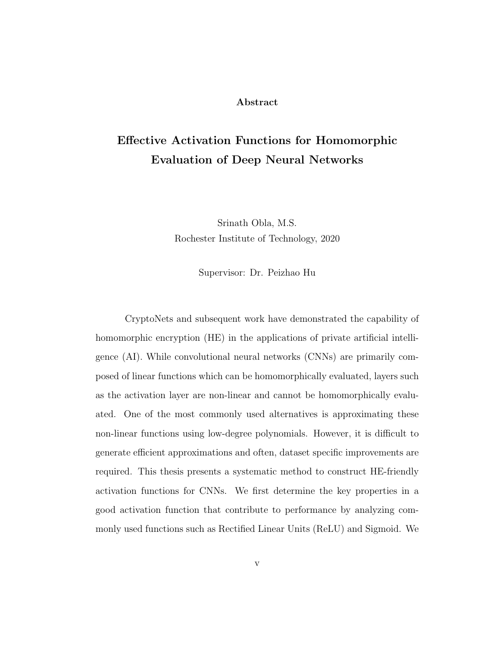#### Abstract

# Effective Activation Functions for Homomorphic Evaluation of Deep Neural Networks

Srinath Obla, M.S. Rochester Institute of Technology, 2020

Supervisor: Dr. Peizhao Hu

CryptoNets and subsequent work have demonstrated the capability of homomorphic encryption (HE) in the applications of private artificial intelligence (AI). While convolutional neural networks (CNNs) are primarily composed of linear functions which can be homomorphically evaluated, layers such as the activation layer are non-linear and cannot be homomorphically evaluated. One of the most commonly used alternatives is approximating these non-linear functions using low-degree polynomials. However, it is difficult to generate efficient approximations and often, dataset specific improvements are required. This thesis presents a systematic method to construct HE-friendly activation functions for CNNs. We first determine the key properties in a good activation function that contribute to performance by analyzing commonly used functions such as Rectified Linear Units (ReLU) and Sigmoid. We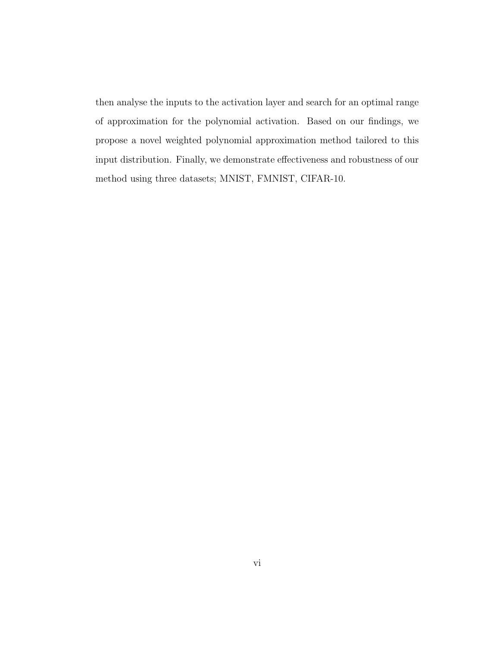then analyse the inputs to the activation layer and search for an optimal range of approximation for the polynomial activation. Based on our findings, we propose a novel weighted polynomial approximation method tailored to this input distribution. Finally, we demonstrate effectiveness and robustness of our method using three datasets; MNIST, FMNIST, CIFAR-10.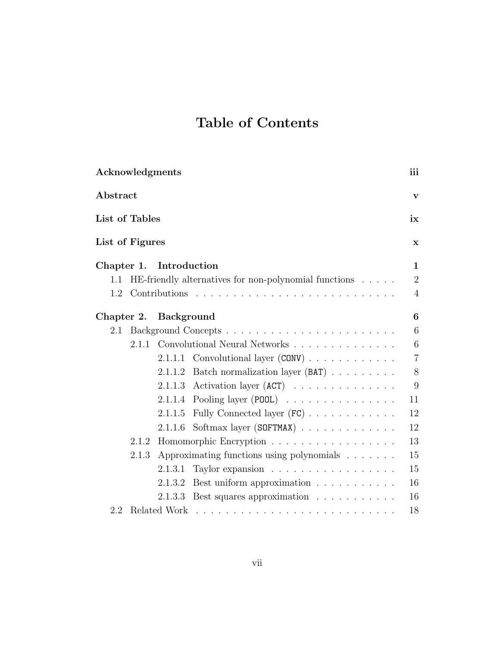# Table of Contents

| Acknowledgments                 |       |                         |                                                            | iii            |
|---------------------------------|-------|-------------------------|------------------------------------------------------------|----------------|
| Abstract                        |       |                         |                                                            | V              |
| List of Tables                  |       |                         |                                                            | ix             |
| List of Figures                 |       |                         |                                                            | X              |
|                                 |       | Chapter 1. Introduction |                                                            | $\mathbf{1}$   |
| $1.1\,$                         |       |                         | HE-friendly alternatives for non-polynomial functions      | $\overline{2}$ |
| 1.2                             |       |                         |                                                            | $\overline{4}$ |
|                                 |       | Chapter 2. Background   |                                                            | 6              |
| 2.1                             |       |                         |                                                            | 6              |
|                                 |       |                         | 2.1.1 Convolutional Neural Networks                        | 6              |
|                                 |       |                         | 2.1.1.1 Convolutional layer $(CONV)$                       | $\overline{7}$ |
|                                 |       | 2.1.1.2                 | Batch normalization layer (BAT)                            | 8              |
|                                 |       | 2.1.1.3                 | Activation layer $(ACT)$                                   | 9              |
|                                 |       |                         | 2.1.1.4 Pooling layer (POOL) $\ldots \ldots \ldots \ldots$ | 11             |
|                                 |       | 2.1.1.5                 | Fully Connected layer (FC)                                 | 12             |
|                                 |       | 2.1.1.6                 | Softmax layer (SOFTMAX)                                    | 12             |
| Homomorphic Encryption<br>2.1.2 |       |                         | 13                                                         |                |
|                                 | 2.1.3 |                         | Approximating functions using polynomials $\ldots \ldots$  | 15             |
|                                 |       | 2.1.3.1                 | Taylor expansion                                           | 15             |
|                                 |       | 2.1.3.2                 | Best uniform approximation                                 | 16             |
|                                 |       |                         | 2.1.3.3 Best squares approximation                         | 16             |
| 2.2                             |       |                         |                                                            | 18             |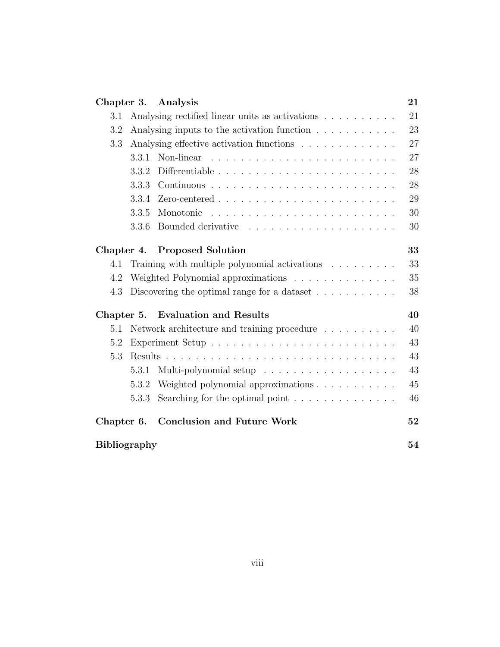| Chapter 3.          | Analysis                                                             | 21 |
|---------------------|----------------------------------------------------------------------|----|
| 3.1                 | Analysing rectified linear units as activations                      | 21 |
| 3.2                 | Analysing inputs to the activation function                          | 23 |
| $3.3\,$             | Analysing effective activation functions                             | 27 |
| 3.3.1               |                                                                      | 27 |
| 3.3.2               |                                                                      | 28 |
| 3.3.3               |                                                                      | 28 |
| 3.3.4               |                                                                      | 29 |
| 3.3.5               |                                                                      | 30 |
| 3.3.6               |                                                                      | 30 |
| Chapter 4.          | <b>Proposed Solution</b>                                             | 33 |
| 4.1                 | Training with multiple polynomial activations $\ldots \ldots \ldots$ | 33 |
| 4.2                 | Weighted Polynomial approximations                                   | 35 |
| 4.3                 | Discovering the optimal range for a dataset $\dots \dots \dots$      | 38 |
| Chapter 5.          | <b>Evaluation and Results</b>                                        | 40 |
| 5.1                 | Network architecture and training procedure                          | 40 |
| 5.2                 |                                                                      | 43 |
| 5.3                 |                                                                      | 43 |
| 5.3.1               | Multi-polynomial setup                                               | 43 |
| 5.3.2               | Weighted polynomial approximations                                   | 45 |
| 5.3.3               | Searching for the optimal point $\ldots \ldots \ldots \ldots$        | 46 |
| Chapter 6.          | <b>Conclusion and Future Work</b>                                    | 52 |
| <b>Bibliography</b> |                                                                      | 54 |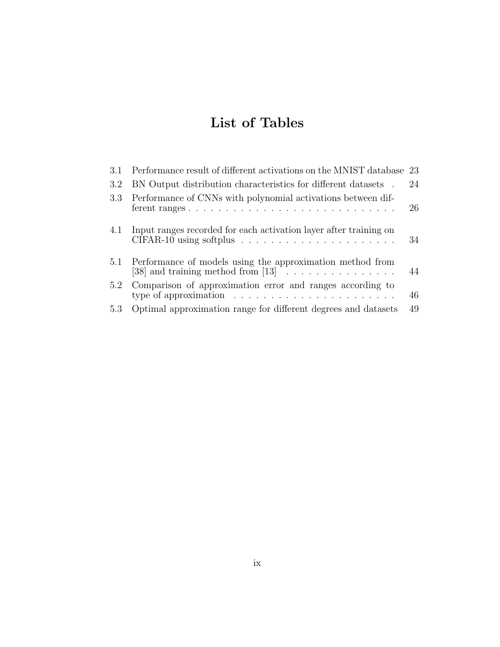# List of Tables

| 3.1 | Performance result of different activations on the MNIST database 23                                                                              |    |
|-----|---------------------------------------------------------------------------------------------------------------------------------------------------|----|
| 3.2 | BN Output distribution characteristics for different datasets.                                                                                    | 24 |
| 3.3 | Performance of CNNs with polynomial activations between dif-                                                                                      | 26 |
| 4.1 | Input ranges recorded for each activation layer after training on<br>$CIFAR-10$ using softplus $\ldots \ldots \ldots \ldots \ldots \ldots \ldots$ | 34 |
|     | 5.1 Performance of models using the approximation method from<br>[38] and training method from $[13]$                                             | 44 |
| 5.2 | Comparison of approximation error and ranges according to<br>type of approximation $\ldots \ldots \ldots \ldots \ldots \ldots \ldots$             | 46 |
| 5.3 | Optimal approximation range for different degrees and datasets                                                                                    | 49 |
|     |                                                                                                                                                   |    |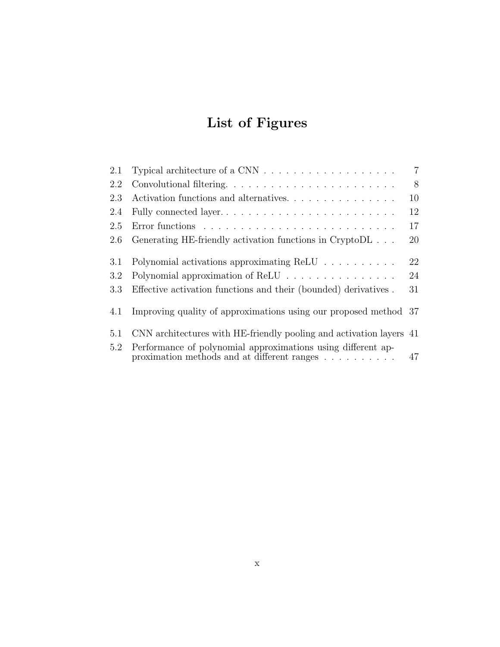# List of Figures

| 2.1 | Typical architecture of a CNN $\ldots \ldots \ldots \ldots \ldots \ldots$                                                          | $\overline{7}$ |
|-----|------------------------------------------------------------------------------------------------------------------------------------|----------------|
| 2.2 |                                                                                                                                    | 8              |
| 2.3 | Activation functions and alternatives                                                                                              | 10             |
| 2.4 | Fully connected layer                                                                                                              | 12             |
| 2.5 |                                                                                                                                    | 17             |
| 2.6 | Generating HE-friendly activation functions in CryptoDL                                                                            | 20             |
| 3.1 | Polynomial activations approximating ReLU                                                                                          | 22             |
| 3.2 | Polynomial approximation of ReLU                                                                                                   | 24             |
| 3.3 | Effective activation functions and their (bounded) derivatives.                                                                    | 31             |
| 4.1 | Improving quality of approximations using our proposed method 37                                                                   |                |
| 5.1 | CNN architectures with HE-friendly pooling and activation layers 41                                                                |                |
| 5.2 | Performance of polynomial approximations using different ap-<br>proximation methods and at different ranges $\ldots \ldots \ldots$ | 47             |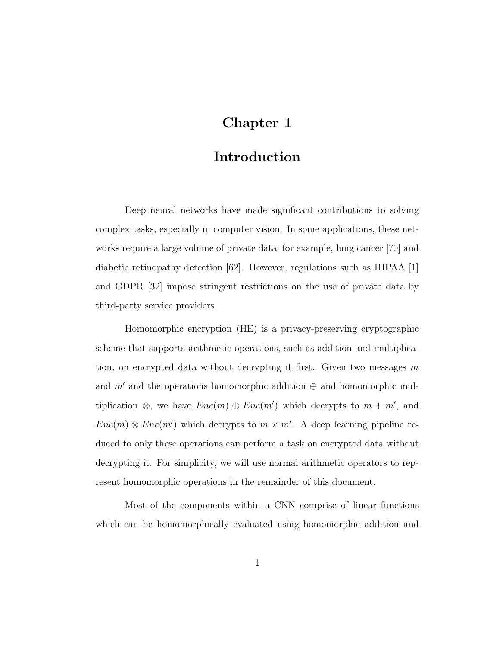# Chapter 1

## Introduction

Deep neural networks have made significant contributions to solving complex tasks, especially in computer vision. In some applications, these networks require a large volume of private data; for example, lung cancer [70] and diabetic retinopathy detection  $[62]$ . However, regulations such as HIPAA [1] and GDPR [32] impose stringent restrictions on the use of private data by third-party service providers.

Homomorphic encryption (HE) is a privacy-preserving cryptographic scheme that supports arithmetic operations, such as addition and multiplication, on encrypted data without decrypting it first. Given two messages  $m$ and m' and the operations homomorphic addition  $\oplus$  and homomorphic multiplication  $\otimes$ , we have  $Enc(m) \oplus Enc(m')$  which decrypts to  $m + m'$ , and  $Enc(m) \otimes Enc(m')$  which decrypts to  $m \times m'$ . A deep learning pipeline reduced to only these operations can perform a task on encrypted data without decrypting it. For simplicity, we will use normal arithmetic operators to represent homomorphic operations in the remainder of this document.

Most of the components within a CNN comprise of linear functions which can be homomorphically evaluated using homomorphic addition and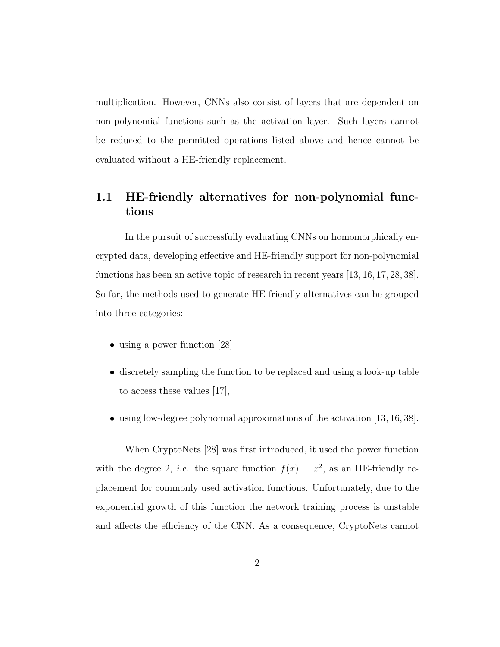multiplication. However, CNNs also consist of layers that are dependent on non-polynomial functions such as the activation layer. Such layers cannot be reduced to the permitted operations listed above and hence cannot be evaluated without a HE-friendly replacement.

## 1.1 HE-friendly alternatives for non-polynomial functions

In the pursuit of successfully evaluating CNNs on homomorphically encrypted data, developing effective and HE-friendly support for non-polynomial functions has been an active topic of research in recent years [13, 16, 17, 28, 38]. So far, the methods used to generate HE-friendly alternatives can be grouped into three categories:

- using a power function [28]
- discretely sampling the function to be replaced and using a look-up table to access these values [17],
- using low-degree polynomial approximations of the activation [13, 16, 38].

When CryptoNets [28] was first introduced, it used the power function with the degree 2, *i.e.* the square function  $f(x) = x^2$ , as an HE-friendly replacement for commonly used activation functions. Unfortunately, due to the exponential growth of this function the network training process is unstable and affects the efficiency of the CNN. As a consequence, CryptoNets cannot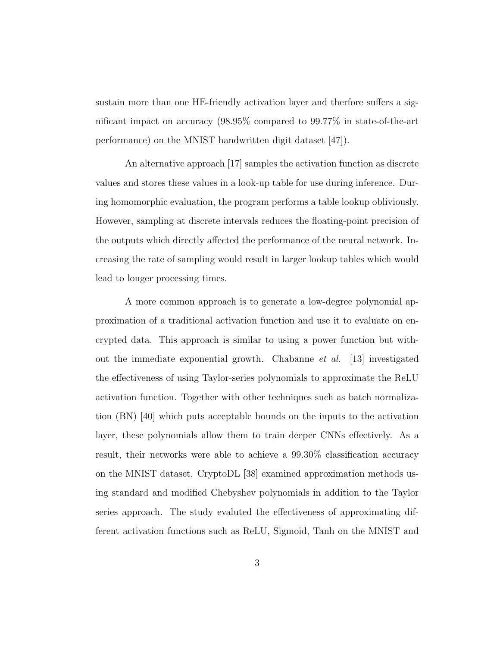sustain more than one HE-friendly activation layer and therfore suffers a significant impact on accuracy (98.95% compared to 99.77% in state-of-the-art performance) on the MNIST handwritten digit dataset [47]).

An alternative approach [17] samples the activation function as discrete values and stores these values in a look-up table for use during inference. During homomorphic evaluation, the program performs a table lookup obliviously. However, sampling at discrete intervals reduces the floating-point precision of the outputs which directly affected the performance of the neural network. Increasing the rate of sampling would result in larger lookup tables which would lead to longer processing times.

A more common approach is to generate a low-degree polynomial approximation of a traditional activation function and use it to evaluate on encrypted data. This approach is similar to using a power function but without the immediate exponential growth. Chabanne et al. [13] investigated the effectiveness of using Taylor-series polynomials to approximate the ReLU activation function. Together with other techniques such as batch normalization (BN) [40] which puts acceptable bounds on the inputs to the activation layer, these polynomials allow them to train deeper CNNs effectively. As a result, their networks were able to achieve a 99.30% classification accuracy on the MNIST dataset. CryptoDL [38] examined approximation methods using standard and modified Chebyshev polynomials in addition to the Taylor series approach. The study evaluted the effectiveness of approximating different activation functions such as ReLU, Sigmoid, Tanh on the MNIST and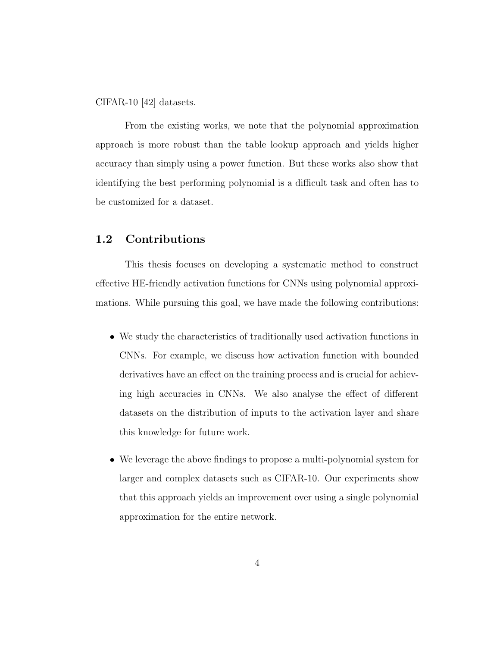CIFAR-10 [42] datasets.

From the existing works, we note that the polynomial approximation approach is more robust than the table lookup approach and yields higher accuracy than simply using a power function. But these works also show that identifying the best performing polynomial is a difficult task and often has to be customized for a dataset.

## 1.2 Contributions

This thesis focuses on developing a systematic method to construct effective HE-friendly activation functions for CNNs using polynomial approximations. While pursuing this goal, we have made the following contributions:

- We study the characteristics of traditionally used activation functions in CNNs. For example, we discuss how activation function with bounded derivatives have an effect on the training process and is crucial for achieving high accuracies in CNNs. We also analyse the effect of different datasets on the distribution of inputs to the activation layer and share this knowledge for future work.
- We leverage the above findings to propose a multi-polynomial system for larger and complex datasets such as CIFAR-10. Our experiments show that this approach yields an improvement over using a single polynomial approximation for the entire network.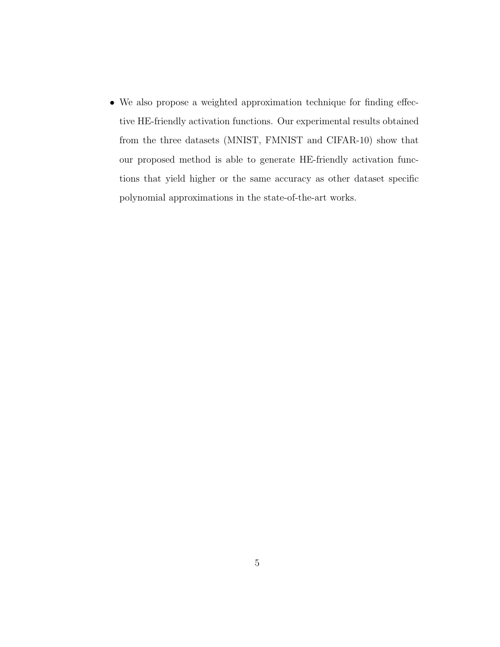• We also propose a weighted approximation technique for finding effective HE-friendly activation functions. Our experimental results obtained from the three datasets (MNIST, FMNIST and CIFAR-10) show that our proposed method is able to generate HE-friendly activation functions that yield higher or the same accuracy as other dataset specific polynomial approximations in the state-of-the-art works.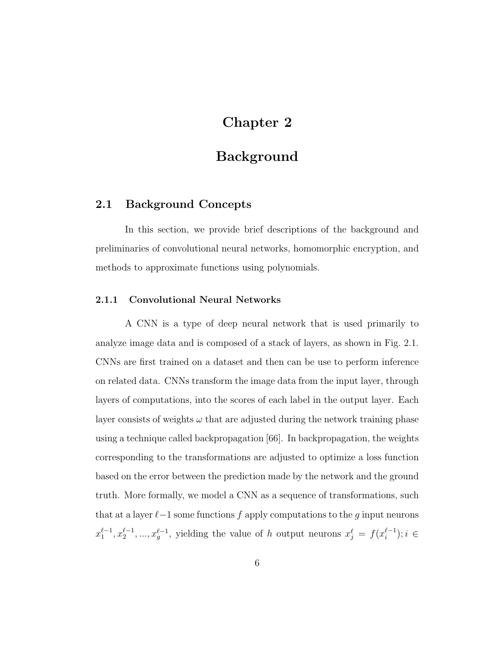# Chapter 2

## Background

## 2.1 Background Concepts

In this section, we provide brief descriptions of the background and preliminaries of convolutional neural networks, homomorphic encryption, and methods to approximate functions using polynomials.

#### 2.1.1 Convolutional Neural Networks

A CNN is a type of deep neural network that is used primarily to analyze image data and is composed of a stack of layers, as shown in Fig. 2.1. CNNs are first trained on a dataset and then can be use to perform inference on related data. CNNs transform the image data from the input layer, through layers of computations, into the scores of each label in the output layer. Each layer consists of weights  $\omega$  that are adjusted during the network training phase using a technique called backpropagation [66]. In backpropagation, the weights corresponding to the transformations are adjusted to optimize a loss function based on the error between the prediction made by the network and the ground truth. More formally, we model a CNN as a sequence of transformations, such that at a layer  $\ell-1$  some functions f apply computations to the g input neurons  $x_1^{\ell-1}, x_2^{\ell-1}, ..., x_g^{\ell-1}$ , yielding the value of h output neurons  $x_j^{\ell} = f(x_i^{\ell-1})$  $i^{(-1)}$ ;  $i \in$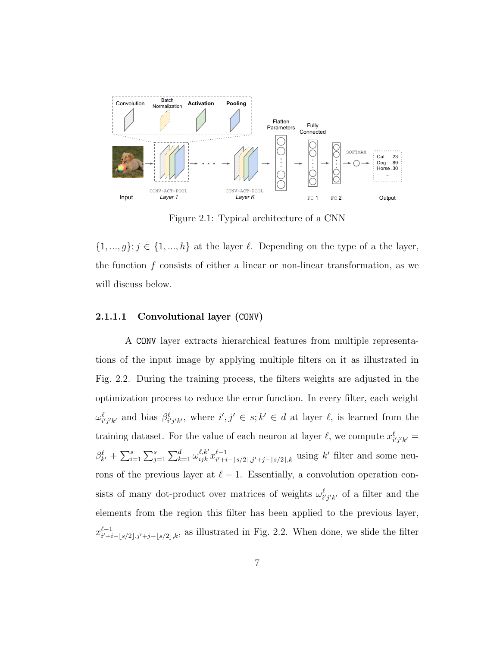

Figure 2.1: Typical architecture of a CNN

 $\{1, ..., g\}; j \in \{1, ..., h\}$  at the layer  $\ell$ . Depending on the type of a the layer, the function f consists of either a linear or non-linear transformation, as we will discuss below.

#### 2.1.1.1 Convolutional layer (CONV)

A CONV layer extracts hierarchical features from multiple representations of the input image by applying multiple filters on it as illustrated in Fig. 2.2. During the training process, the filters weights are adjusted in the optimization process to reduce the error function. In every filter, each weight  $\omega_{i'j'k'}^{\ell}$  and bias  $\beta_{i'j'k'}^{\ell}$ , where  $i',j' \in s; k' \in d$  at layer  $\ell$ , is learned from the training dataset. For the value of each neuron at layer  $\ell$ , we compute  $x_{i'j'k'}^{\ell} =$  $\beta_{k'}^{\ell} + \sum_{i=1}^{s} \sum_{j=1}^{s} \sum_{k=1}^{d} \omega_{ijk}^{\ell,k'} x_{i'+i}^{\ell-1}$  $\ell-1$ <br>i<sup>i</sup>+i-|s/2|,j<sup>i</sup>+j-|s/2|,k using k' filter and some neurons of the previous layer at  $\ell - 1$ . Essentially, a convolution operation consists of many dot-product over matrices of weights  $\omega_{i'j'k'}^{\ell}$  of a filter and the elements from the region this filter has been applied to the previous layer,  $x_{i'+i}^{\ell-1}$  $\frac{\ell-1}{i'+i-|s/2|,j'+j-|s/2|,k}$ , as illustrated in Fig. 2.2. When done, we slide the filter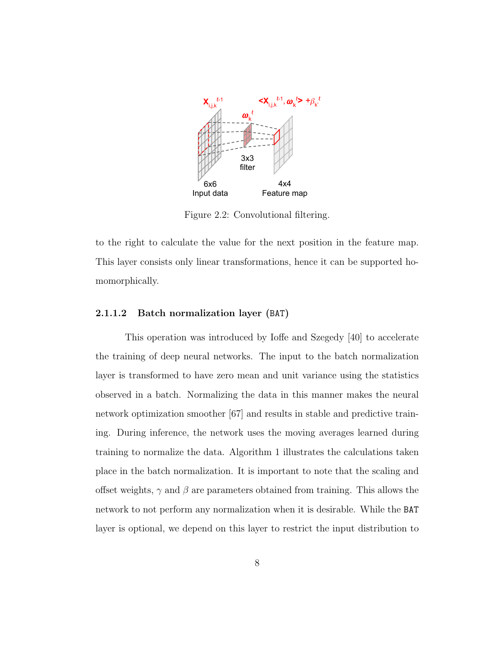

Figure 2.2: Convolutional filtering.

to the right to calculate the value for the next position in the feature map. This layer consists only linear transformations, hence it can be supported homomorphically.

#### 2.1.1.2 Batch normalization layer (BAT)

This operation was introduced by Ioffe and Szegedy [40] to accelerate the training of deep neural networks. The input to the batch normalization layer is transformed to have zero mean and unit variance using the statistics observed in a batch. Normalizing the data in this manner makes the neural network optimization smoother [67] and results in stable and predictive training. During inference, the network uses the moving averages learned during training to normalize the data. Algorithm 1 illustrates the calculations taken place in the batch normalization. It is important to note that the scaling and offset weights,  $\gamma$  and  $\beta$  are parameters obtained from training. This allows the network to not perform any normalization when it is desirable. While the BAT layer is optional, we depend on this layer to restrict the input distribution to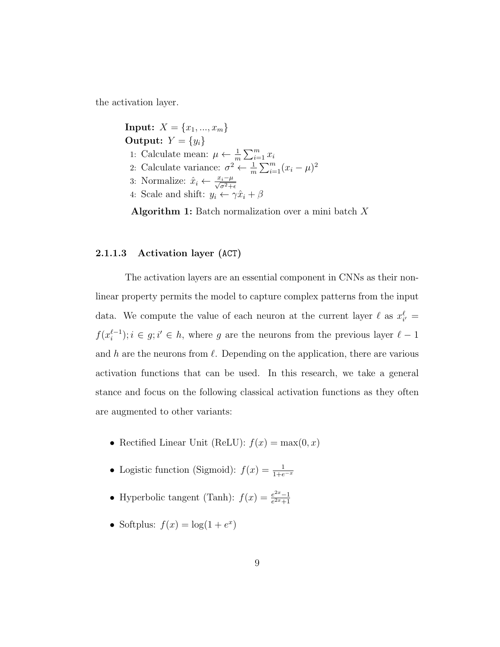the activation layer.

**Input:**  $X = \{x_1, ..., x_m\}$ Output:  $Y = \{y_i\}$ 1: Calculate mean:  $\mu \leftarrow \frac{1}{m} \sum_{i=1}^{m} x_i$ 2: Calculate variance:  $\sigma^2 \leftarrow \frac{1}{m} \sum_{i=1}^{m} (x_i - \mu)^2$ 3: Normalize:  $\hat{x}_i \leftarrow \frac{x_i - \mu}{\sqrt{\sigma^2 + \epsilon}}$ 4: Scale and shift:  $y_i \leftarrow \gamma \hat{x}_i + \beta$ 

Algorithm 1: Batch normalization over a mini batch  $X$ 

#### 2.1.1.3 Activation layer (ACT)

The activation layers are an essential component in CNNs as their nonlinear property permits the model to capture complex patterns from the input data. We compute the value of each neuron at the current layer  $\ell$  as  $x_{i'}^{\ell} =$  $f(x_i^{\ell-1})$  $i_{i}^{l-1}$ ;  $i \in g$ ;  $i' \in h$ , where g are the neurons from the previous layer  $l-1$ and h are the neurons from  $\ell$ . Depending on the application, there are various activation functions that can be used. In this research, we take a general stance and focus on the following classical activation functions as they often are augmented to other variants:

- Rectified Linear Unit (ReLU):  $f(x) = \max(0, x)$
- Logistic function (Sigmoid):  $f(x) = \frac{1}{1+e^{-x}}$
- Hyperbolic tangent (Tanh):  $f(x) = \frac{e^{2x}-1}{e^{2x}+1}$  $e^{2x}+1$
- Softplus:  $f(x) = \log(1 + e^x)$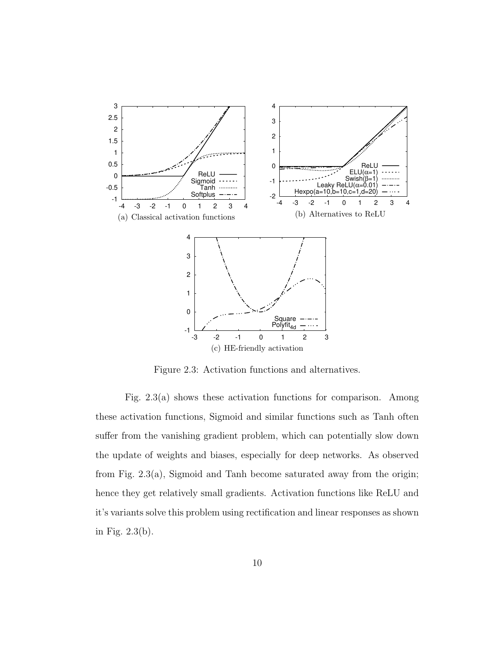

Figure 2.3: Activation functions and alternatives.

Fig. 2.3(a) shows these activation functions for comparison. Among these activation functions, Sigmoid and similar functions such as Tanh often suffer from the vanishing gradient problem, which can potentially slow down the update of weights and biases, especially for deep networks. As observed from Fig. 2.3(a), Sigmoid and Tanh become saturated away from the origin; hence they get relatively small gradients. Activation functions like ReLU and it's variants solve this problem using rectification and linear responses as shown in Fig. 2.3(b).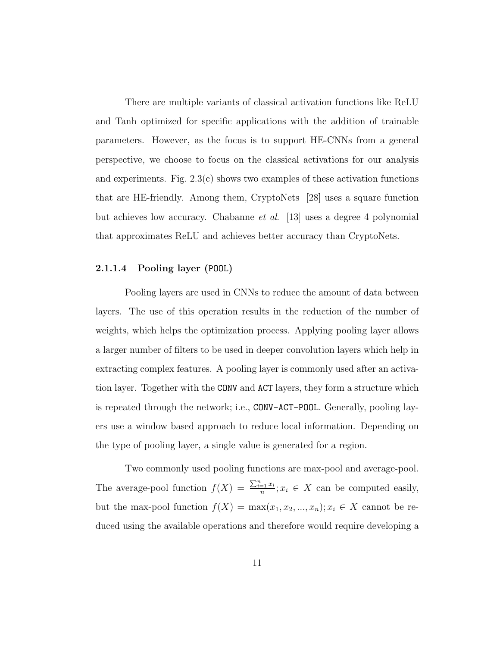There are multiple variants of classical activation functions like ReLU and Tanh optimized for specific applications with the addition of trainable parameters. However, as the focus is to support HE-CNNs from a general perspective, we choose to focus on the classical activations for our analysis and experiments. Fig.  $2.3(c)$  shows two examples of these activation functions that are HE-friendly. Among them, CryptoNets [28] uses a square function but achieves low accuracy. Chabanne et al. [13] uses a degree 4 polynomial that approximates ReLU and achieves better accuracy than CryptoNets.

#### 2.1.1.4 Pooling layer (POOL)

Pooling layers are used in CNNs to reduce the amount of data between layers. The use of this operation results in the reduction of the number of weights, which helps the optimization process. Applying pooling layer allows a larger number of filters to be used in deeper convolution layers which help in extracting complex features. A pooling layer is commonly used after an activation layer. Together with the CONV and ACT layers, they form a structure which is repeated through the network; i.e., CONV-ACT-POOL. Generally, pooling layers use a window based approach to reduce local information. Depending on the type of pooling layer, a single value is generated for a region.

Two commonly used pooling functions are max-pool and average-pool. The average-pool function  $f(X) = \frac{\sum_{i=1}^{n} x_i}{n}$  $\frac{a}{n}e^{\frac{-1}{x}}$ ;  $x_i \in X$  can be computed easily, but the max-pool function  $f(X) = \max(x_1, x_2, ..., x_n); x_i \in X$  cannot be reduced using the available operations and therefore would require developing a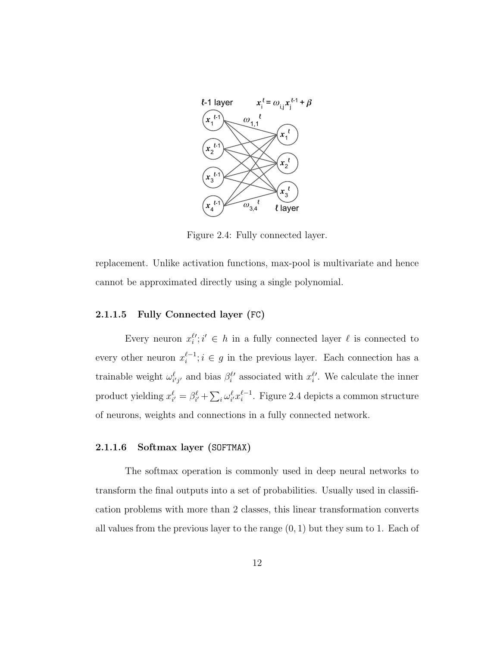

Figure 2.4: Fully connected layer.

replacement. Unlike activation functions, max-pool is multivariate and hence cannot be approximated directly using a single polynomial.

### 2.1.1.5 Fully Connected layer (FC)

Every neuron  $x_i^{\ell\prime}$ ;  $i' \in h$  in a fully connected layer  $\ell$  is connected to every other neuron  $x_i^{\ell-1}$  $i^{e-1}$ ;  $i \in g$  in the previous layer. Each connection has a trainable weight  $\omega_{i'j'}^{\ell}$  and bias  $\beta_i^{\ell'}$  associated with  $x_i^{\ell'}$ . We calculate the inner product yielding  $x_{i'}^{\ell} = \beta_{i'}^{\ell} + \sum_{i} \omega_{i'}^{\ell} x_{i}^{\ell-1}$  $i^{l-1}$ . Figure 2.4 depicts a common structure of neurons, weights and connections in a fully connected network.

#### 2.1.1.6 Softmax layer (SOFTMAX)

The softmax operation is commonly used in deep neural networks to transform the final outputs into a set of probabilities. Usually used in classification problems with more than 2 classes, this linear transformation converts all values from the previous layer to the range  $(0, 1)$  but they sum to 1. Each of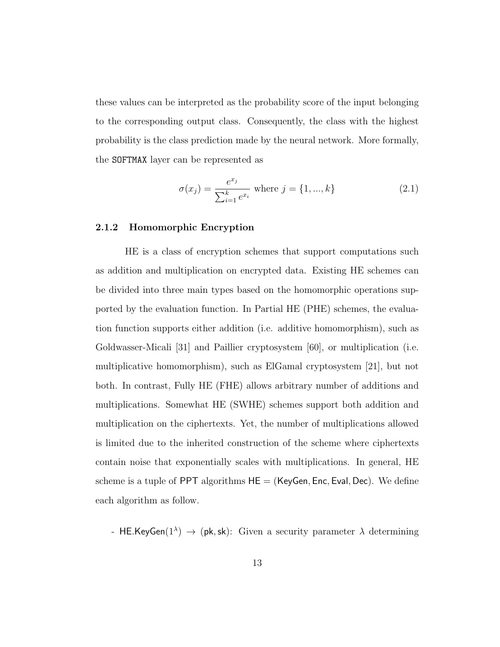these values can be interpreted as the probability score of the input belonging to the corresponding output class. Consequently, the class with the highest probability is the class prediction made by the neural network. More formally, the SOFTMAX layer can be represented as

$$
\sigma(x_j) = \frac{e^{x_j}}{\sum_{i=1}^k e^{x_i}} \text{ where } j = \{1, ..., k\}
$$
 (2.1)

#### 2.1.2 Homomorphic Encryption

HE is a class of encryption schemes that support computations such as addition and multiplication on encrypted data. Existing HE schemes can be divided into three main types based on the homomorphic operations supported by the evaluation function. In Partial HE (PHE) schemes, the evaluation function supports either addition (i.e. additive homomorphism), such as Goldwasser-Micali [31] and Paillier cryptosystem [60], or multiplication (i.e. multiplicative homomorphism), such as ElGamal cryptosystem [21], but not both. In contrast, Fully HE (FHE) allows arbitrary number of additions and multiplications. Somewhat HE (SWHE) schemes support both addition and multiplication on the ciphertexts. Yet, the number of multiplications allowed is limited due to the inherited construction of the scheme where ciphertexts contain noise that exponentially scales with multiplications. In general, HE scheme is a tuple of PPT algorithms  $HE = (KeyGen, Enc, Eva, Dec)$ . We define each algorithm as follow.

- HE.KeyGen(1<sup> $\lambda$ </sup>)  $\rightarrow$  (pk, sk): Given a security parameter  $\lambda$  determining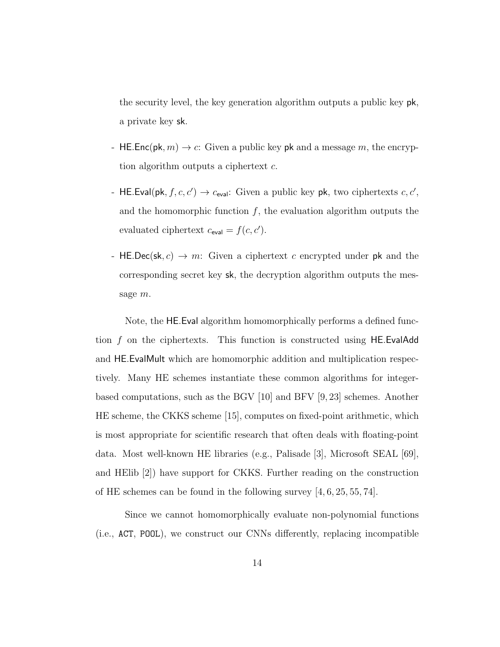the security level, the key generation algorithm outputs a public key pk, a private key sk.

- HE.Enc(pk,  $m$ )  $\rightarrow$  c: Given a public key pk and a message m, the encryption algorithm outputs a ciphertext c.
- HE.Eval(pk,  $f, c, c'$ )  $\rightarrow$   $c_{eval}$ : Given a public key pk, two ciphertexts  $c, c'$ , and the homomorphic function  $f$ , the evaluation algorithm outputs the evaluated ciphertext  $c_{\text{eval}} = f(c, c')$ .
- HE.Dec(sk,  $c$ )  $\rightarrow$  m: Given a ciphertext c encrypted under pk and the corresponding secret key sk, the decryption algorithm outputs the message m.

Note, the HE.Eval algorithm homomorphically performs a defined function f on the ciphertexts. This function is constructed using HE.EvalAdd and HE.EvalMult which are homomorphic addition and multiplication respectively. Many HE schemes instantiate these common algorithms for integerbased computations, such as the BGV [10] and BFV [9, 23] schemes. Another HE scheme, the CKKS scheme [15], computes on fixed-point arithmetic, which is most appropriate for scientific research that often deals with floating-point data. Most well-known HE libraries (e.g., Palisade [3], Microsoft SEAL [69], and HElib [2]) have support for CKKS. Further reading on the construction of HE schemes can be found in the following survey [4, 6, 25, 55, 74].

Since we cannot homomorphically evaluate non-polynomial functions (i.e., ACT, POOL), we construct our CNNs differently, replacing incompatible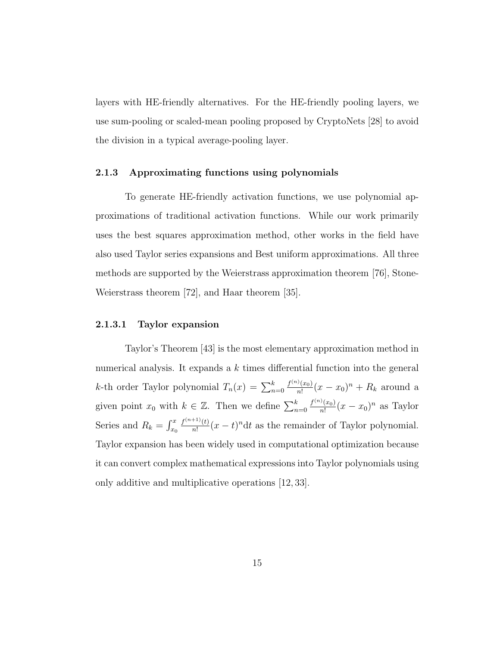layers with HE-friendly alternatives. For the HE-friendly pooling layers, we use sum-pooling or scaled-mean pooling proposed by CryptoNets [28] to avoid the division in a typical average-pooling layer.

#### 2.1.3 Approximating functions using polynomials

To generate HE-friendly activation functions, we use polynomial approximations of traditional activation functions. While our work primarily uses the best squares approximation method, other works in the field have also used Taylor series expansions and Best uniform approximations. All three methods are supported by the Weierstrass approximation theorem [76], Stone-Weierstrass theorem [72], and Haar theorem [35].

#### 2.1.3.1 Taylor expansion

Taylor's Theorem [43] is the most elementary approximation method in numerical analysis. It expands a k times differential function into the general *k*-th order Taylor polynomial  $T_n(x) = \sum_{n=0}^{k}$  $f^{(n)}(x_0)$  $\frac{f(x_0)}{n!}(x-x_0)^n + R_k$  around a given point  $x_0$  with  $k \in \mathbb{Z}$ . Then we define  $\sum_{n=0}^{k}$  $f^{(n)}(x_0)$  $\frac{\partial f(x_0)}{\partial x_1}(x-x_0)^n$  as Taylor Series and  $R_k = \int_{x_0}^x$  $f^{(n+1)}(t)$  $\frac{f^{(n+1)}(t)}{n!}(x-t)^n dt$  as the remainder of Taylor polynomial. Taylor expansion has been widely used in computational optimization because it can convert complex mathematical expressions into Taylor polynomials using only additive and multiplicative operations [12, 33].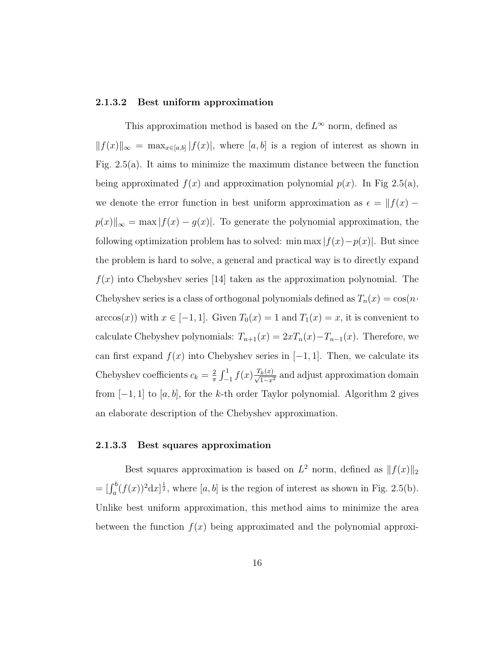#### 2.1.3.2 Best uniform approximation

This approximation method is based on the  $L^{\infty}$  norm, defined as  $||f(x)||_{\infty} = \max_{x \in [a,b]} |f(x)|$ , where [a, b] is a region of interest as shown in Fig. 2.5(a). It aims to minimize the maximum distance between the function being approximated  $f(x)$  and approximation polynomial  $p(x)$ . In Fig 2.5(a), we denote the error function in best uniform approximation as  $\epsilon = ||f(x)$  $p(x)\Vert_{\infty} = \max |f(x) - g(x)|$ . To generate the polynomial approximation, the following optimization problem has to solved: min max  $|f(x)-p(x)|$ . But since the problem is hard to solve, a general and practical way is to directly expand  $f(x)$  into Chebyshev series [14] taken as the approximation polynomial. The Chebyshev series is a class of orthogonal polynomials defined as  $T_n(x) = \cos(n \cdot$  $arccos(x)$  with  $x \in [-1, 1]$ . Given  $T_0(x) = 1$  and  $T_1(x) = x$ , it is convenient to calculate Chebyshev polynomials:  $T_{n+1}(x) = 2xT_n(x) - T_{n-1}(x)$ . Therefore, we can first expand  $f(x)$  into Chebyshev series in  $[-1, 1]$ . Then, we calculate its Chebyshev coefficients  $c_k = \frac{2}{\pi}$  $\frac{2}{\pi} \int_{-1}^{1} f(x) \frac{T_k(x)}{\sqrt{1-x^2}}$  and adjust approximation domain from  $[-1, 1]$  to  $[a, b]$ , for the k-th order Taylor polynomial. Algorithm 2 gives an elaborate description of the Chebyshev approximation.

### 2.1.3.3 Best squares approximation

Best squares approximation is based on  $L^2$  norm, defined as  $|| f(x) ||_2$  $=[\int_a^b (f(x))^2 dx]^{\frac{1}{2}}$ , where  $[a, b]$  is the region of interest as shown in Fig. 2.5(b). Unlike best uniform approximation, this method aims to minimize the area between the function  $f(x)$  being approximated and the polynomial approxi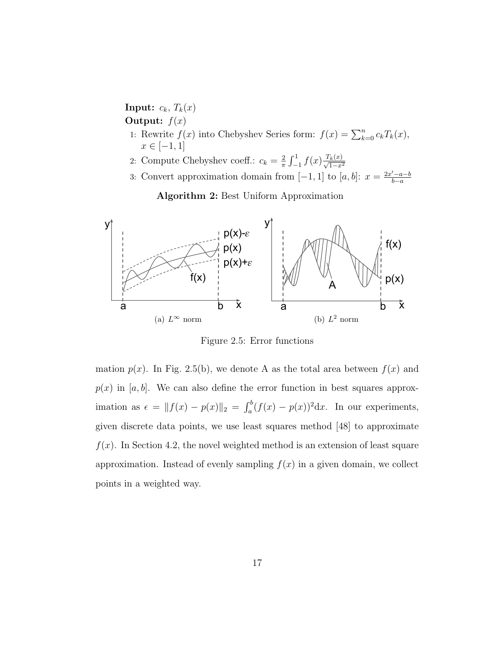Input:  $c_k$ ,  $T_k(x)$ Output:  $f(x)$ 

- 1: Rewrite  $f(x)$  into Chebyshev Series form:  $f(x) = \sum_{k=0}^{n} c_k T_k(x)$ ,  $x \in [-1, 1]$
- 2: Compute Chebyshev coeff.:  $c_k = \frac{2}{\pi}$  $\frac{2}{\pi} \int_{-1}^{1} f(x) \frac{T_k(x)}{\sqrt{1-x^2}}$
- 3: Convert approximation domain from [-1, 1] to [a, b]:  $x = \frac{2x'-a-b}{b-a}$ b−a

Algorithm 2: Best Uniform Approximation



Figure 2.5: Error functions

mation  $p(x)$ . In Fig. 2.5(b), we denote A as the total area between  $f(x)$  and  $p(x)$  in [a, b]. We can also define the error function in best squares approximation as  $\epsilon = ||f(x) - p(x)||_2 = \int_a^b (f(x) - p(x))^2 dx$ . In our experiments, given discrete data points, we use least squares method [48] to approximate  $f(x)$ . In Section 4.2, the novel weighted method is an extension of least square approximation. Instead of evenly sampling  $f(x)$  in a given domain, we collect points in a weighted way.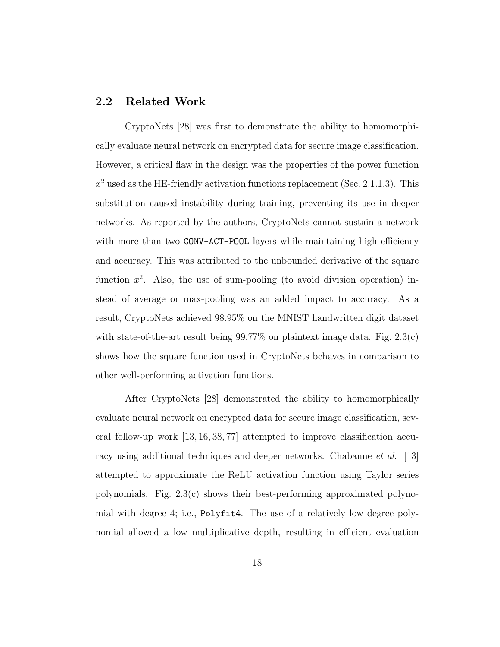### 2.2 Related Work

CryptoNets [28] was first to demonstrate the ability to homomorphically evaluate neural network on encrypted data for secure image classification. However, a critical flaw in the design was the properties of the power function  $x^2$  used as the HE-friendly activation functions replacement (Sec. 2.1.1.3). This substitution caused instability during training, preventing its use in deeper networks. As reported by the authors, CryptoNets cannot sustain a network with more than two CONV-ACT-POOL layers while maintaining high efficiency and accuracy. This was attributed to the unbounded derivative of the square function  $x^2$ . Also, the use of sum-pooling (to avoid division operation) instead of average or max-pooling was an added impact to accuracy. As a result, CryptoNets achieved 98.95% on the MNIST handwritten digit dataset with state-of-the-art result being  $99.77\%$  on plaintext image data. Fig. 2.3(c) shows how the square function used in CryptoNets behaves in comparison to other well-performing activation functions.

After CryptoNets [28] demonstrated the ability to homomorphically evaluate neural network on encrypted data for secure image classification, several follow-up work [13, 16, 38, 77] attempted to improve classification accuracy using additional techniques and deeper networks. Chabanne *et al.* [13] attempted to approximate the ReLU activation function using Taylor series polynomials. Fig.  $2.3(c)$  shows their best-performing approximated polynomial with degree 4; i.e., Polyfit4. The use of a relatively low degree polynomial allowed a low multiplicative depth, resulting in efficient evaluation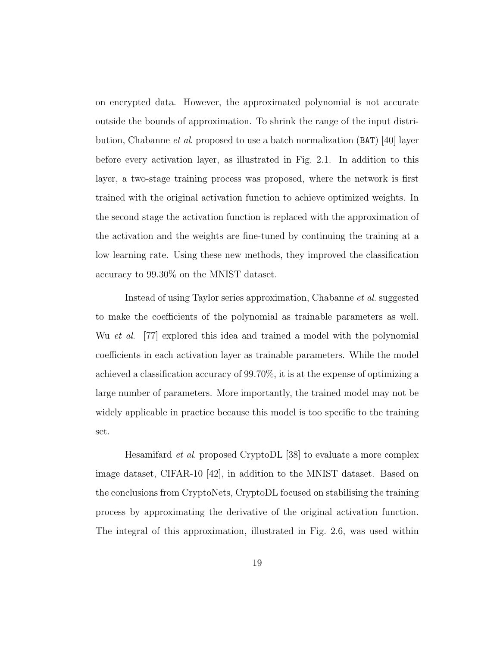on encrypted data. However, the approximated polynomial is not accurate outside the bounds of approximation. To shrink the range of the input distribution, Chabanne et al. proposed to use a batch normalization (BAT) [40] layer before every activation layer, as illustrated in Fig. 2.1. In addition to this layer, a two-stage training process was proposed, where the network is first trained with the original activation function to achieve optimized weights. In the second stage the activation function is replaced with the approximation of the activation and the weights are fine-tuned by continuing the training at a low learning rate. Using these new methods, they improved the classification accuracy to 99.30% on the MNIST dataset.

Instead of using Taylor series approximation, Chabanne et al. suggested to make the coefficients of the polynomial as trainable parameters as well. Wu *et al.* [77] explored this idea and trained a model with the polynomial coefficients in each activation layer as trainable parameters. While the model achieved a classification accuracy of 99.70%, it is at the expense of optimizing a large number of parameters. More importantly, the trained model may not be widely applicable in practice because this model is too specific to the training set.

Hesamifard et al. proposed CryptoDL [38] to evaluate a more complex image dataset, CIFAR-10 [42], in addition to the MNIST dataset. Based on the conclusions from CryptoNets, CryptoDL focused on stabilising the training process by approximating the derivative of the original activation function. The integral of this approximation, illustrated in Fig. 2.6, was used within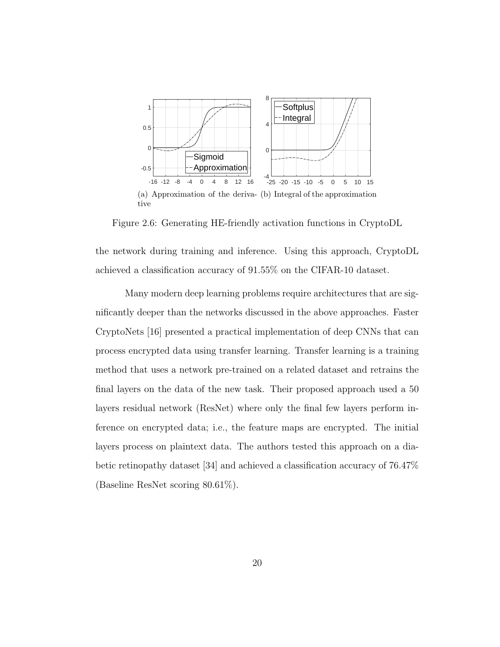

Figure 2.6: Generating HE-friendly activation functions in CryptoDL

the network during training and inference. Using this approach, CryptoDL achieved a classification accuracy of 91.55% on the CIFAR-10 dataset.

Many modern deep learning problems require architectures that are significantly deeper than the networks discussed in the above approaches. Faster CryptoNets [16] presented a practical implementation of deep CNNs that can process encrypted data using transfer learning. Transfer learning is a training method that uses a network pre-trained on a related dataset and retrains the final layers on the data of the new task. Their proposed approach used a 50 layers residual network (ResNet) where only the final few layers perform inference on encrypted data; i.e., the feature maps are encrypted. The initial layers process on plaintext data. The authors tested this approach on a diabetic retinopathy dataset [34] and achieved a classification accuracy of 76.47% (Baseline ResNet scoring 80.61%).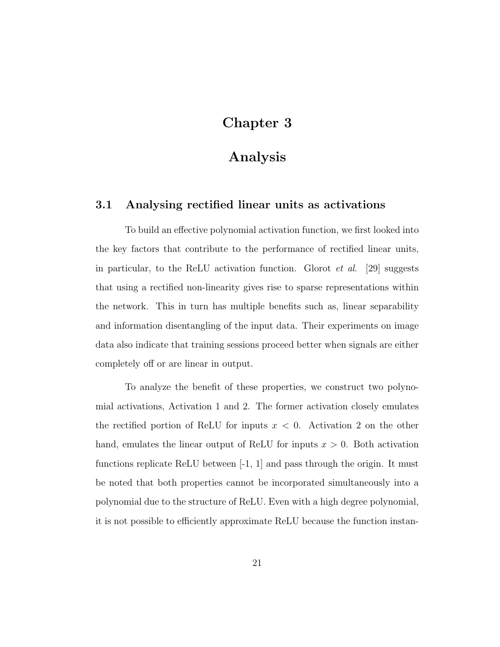## Chapter 3

## Analysis

## 3.1 Analysing rectified linear units as activations

To build an effective polynomial activation function, we first looked into the key factors that contribute to the performance of rectified linear units, in particular, to the ReLU activation function. Glorot *et al.* [29] suggests that using a rectified non-linearity gives rise to sparse representations within the network. This in turn has multiple benefits such as, linear separability and information disentangling of the input data. Their experiments on image data also indicate that training sessions proceed better when signals are either completely off or are linear in output.

To analyze the benefit of these properties, we construct two polynomial activations, Activation 1 and 2. The former activation closely emulates the rectified portion of ReLU for inputs  $x < 0$ . Activation 2 on the other hand, emulates the linear output of ReLU for inputs  $x > 0$ . Both activation functions replicate ReLU between  $[-1, 1]$  and pass through the origin. It must be noted that both properties cannot be incorporated simultaneously into a polynomial due to the structure of ReLU. Even with a high degree polynomial, it is not possible to efficiently approximate ReLU because the function instan-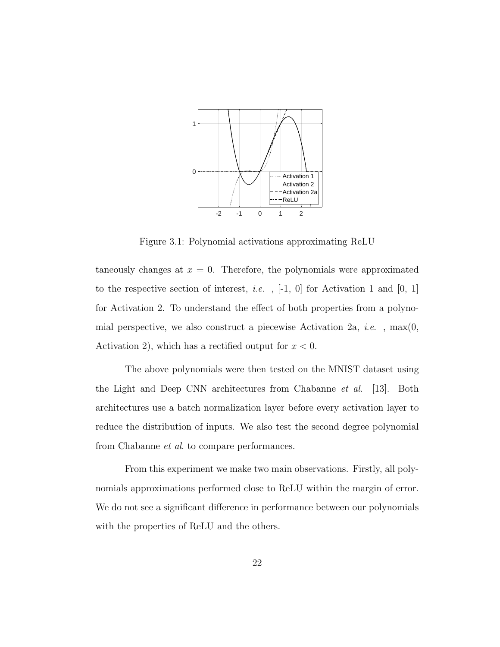

Figure 3.1: Polynomial activations approximating ReLU

taneously changes at  $x = 0$ . Therefore, the polynomials were approximated to the respective section of interest, *i.e.*,  $[-1, 0]$  for Activation 1 and  $[0, 1]$ for Activation 2. To understand the effect of both properties from a polynomial perspective, we also construct a piecewise Activation 2a, *i.e.*,  $max(0,$ Activation 2), which has a rectified output for  $x < 0$ .

The above polynomials were then tested on the MNIST dataset using the Light and Deep CNN architectures from Chabanne et al. [13]. Both architectures use a batch normalization layer before every activation layer to reduce the distribution of inputs. We also test the second degree polynomial from Chabanne et al. to compare performances.

From this experiment we make two main observations. Firstly, all polynomials approximations performed close to ReLU within the margin of error. We do not see a significant difference in performance between our polynomials with the properties of ReLU and the others.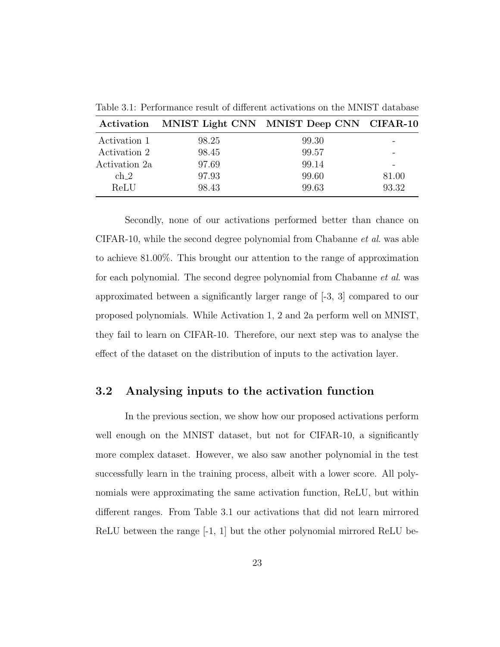|                 | Activation MNIST Light CNN MNIST Deep CNN CIFAR-10 |       |       |
|-----------------|----------------------------------------------------|-------|-------|
| Activation 1    | 98.25                                              | 99.30 |       |
| Activation 2    | 98.45                                              | 99.57 |       |
| Activation 2a   | 97.69                                              | 99.14 |       |
| ch <sub>2</sub> | 97.93                                              | 99.60 | 81.00 |
| ReLU            | 98.43                                              | 99.63 | 93.32 |

Table 3.1: Performance result of different activations on the MNIST database

Secondly, none of our activations performed better than chance on CIFAR-10, while the second degree polynomial from Chabanne et al. was able to achieve 81.00%. This brought our attention to the range of approximation for each polynomial. The second degree polynomial from Chabanne et al. was approximated between a significantly larger range of [-3, 3] compared to our proposed polynomials. While Activation 1, 2 and 2a perform well on MNIST, they fail to learn on CIFAR-10. Therefore, our next step was to analyse the effect of the dataset on the distribution of inputs to the activation layer.

## 3.2 Analysing inputs to the activation function

In the previous section, we show how our proposed activations perform well enough on the MNIST dataset, but not for CIFAR-10, a significantly more complex dataset. However, we also saw another polynomial in the test successfully learn in the training process, albeit with a lower score. All polynomials were approximating the same activation function, ReLU, but within different ranges. From Table 3.1 our activations that did not learn mirrored ReLU between the range [-1, 1] but the other polynomial mirrored ReLU be-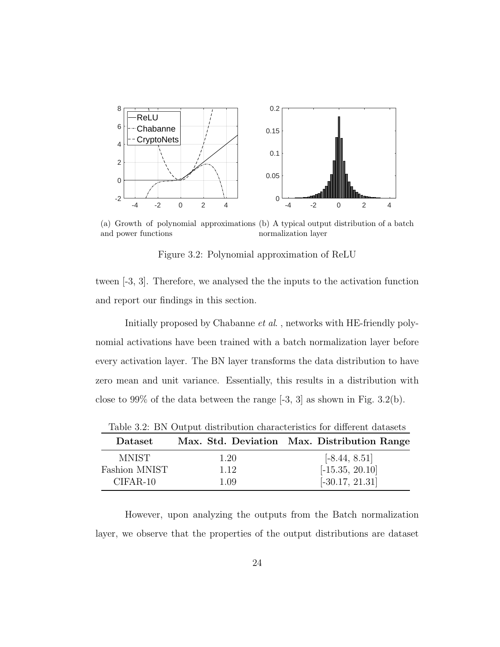

(a) Growth of polynomial approximations (b) A typical output distribution of a batch and power functions normalization layer

Figure 3.2: Polynomial approximation of ReLU

tween [-3, 3]. Therefore, we analysed the the inputs to the activation function and report our findings in this section.

Initially proposed by Chabanne *et al.*, networks with HE-friendly polynomial activations have been trained with a batch normalization layer before every activation layer. The BN layer transforms the data distribution to have zero mean and unit variance. Essentially, this results in a distribution with close to 99% of the data between the range  $[-3, 3]$  as shown in Fig. 3.2(b).

| Dataset       |      | Max. Std. Deviation Max. Distribution Range |
|---------------|------|---------------------------------------------|
| <b>MNIST</b>  | 1.20 | $[-8.44, 8.51]$                             |
| Fashion MNIST | 1.12 | $[-15.35, 20.10]$                           |
| $CIFAR-10$    | 1.09 | $[-30.17, 21.31]$                           |
|               |      |                                             |

Table 3.2: BN Output distribution characteristics for different datasets

However, upon analyzing the outputs from the Batch normalization layer, we observe that the properties of the output distributions are dataset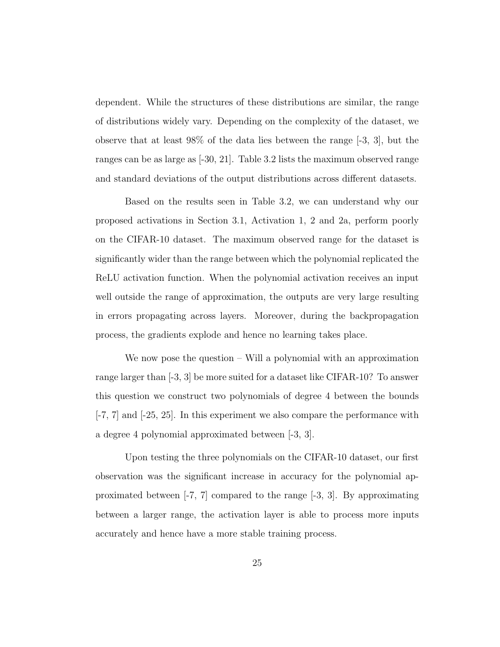dependent. While the structures of these distributions are similar, the range of distributions widely vary. Depending on the complexity of the dataset, we observe that at least 98% of the data lies between the range [-3, 3], but the ranges can be as large as [-30, 21]. Table 3.2 lists the maximum observed range and standard deviations of the output distributions across different datasets.

Based on the results seen in Table 3.2, we can understand why our proposed activations in Section 3.1, Activation 1, 2 and 2a, perform poorly on the CIFAR-10 dataset. The maximum observed range for the dataset is significantly wider than the range between which the polynomial replicated the ReLU activation function. When the polynomial activation receives an input well outside the range of approximation, the outputs are very large resulting in errors propagating across layers. Moreover, during the backpropagation process, the gradients explode and hence no learning takes place.

We now pose the question – Will a polynomial with an approximation range larger than [-3, 3] be more suited for a dataset like CIFAR-10? To answer this question we construct two polynomials of degree 4 between the bounds  $[-7, 7]$  and  $[-25, 25]$ . In this experiment we also compare the performance with a degree 4 polynomial approximated between [-3, 3].

Upon testing the three polynomials on the CIFAR-10 dataset, our first observation was the significant increase in accuracy for the polynomial approximated between [-7, 7] compared to the range [-3, 3]. By approximating between a larger range, the activation layer is able to process more inputs accurately and hence have a more stable training process.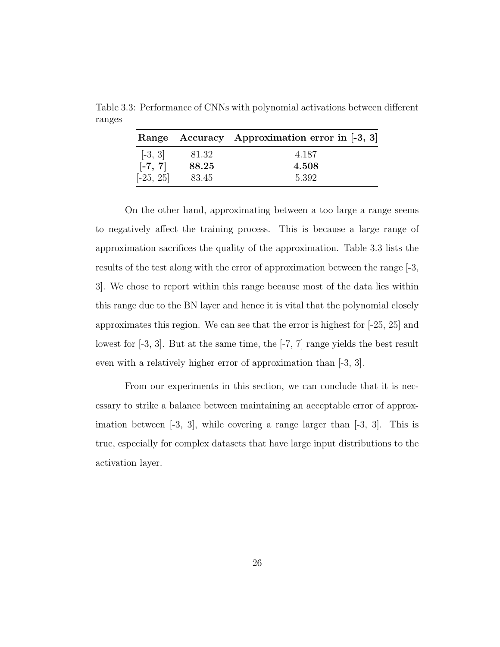|             |       | Range Accuracy Approximation error in [-3, 3] |
|-------------|-------|-----------------------------------------------|
| $[-3, 3]$   | 81.32 | 4.187                                         |
| $[-7, 7]$   | 88.25 | 4.508                                         |
| $[-25, 25]$ | 83.45 | 5.392                                         |

Table 3.3: Performance of CNNs with polynomial activations between different ranges

On the other hand, approximating between a too large a range seems to negatively affect the training process. This is because a large range of approximation sacrifices the quality of the approximation. Table 3.3 lists the results of the test along with the error of approximation between the range [-3, 3]. We chose to report within this range because most of the data lies within this range due to the BN layer and hence it is vital that the polynomial closely approximates this region. We can see that the error is highest for [-25, 25] and lowest for [-3, 3]. But at the same time, the [-7, 7] range yields the best result even with a relatively higher error of approximation than [-3, 3].

From our experiments in this section, we can conclude that it is necessary to strike a balance between maintaining an acceptable error of approximation between  $[-3, 3]$ , while covering a range larger than  $[-3, 3]$ . This is true, especially for complex datasets that have large input distributions to the activation layer.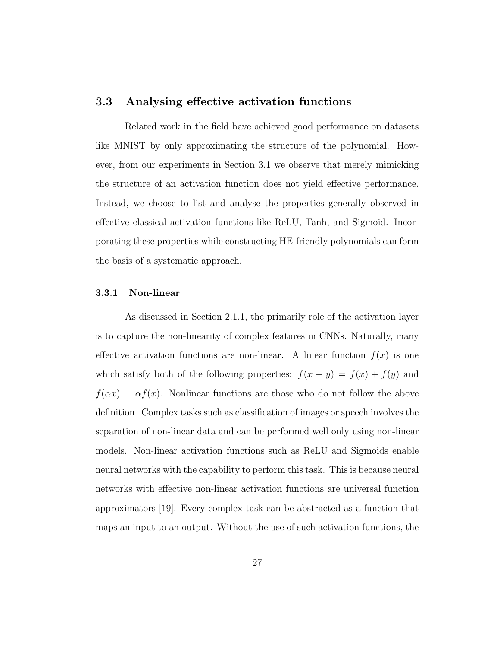### 3.3 Analysing effective activation functions

Related work in the field have achieved good performance on datasets like MNIST by only approximating the structure of the polynomial. However, from our experiments in Section 3.1 we observe that merely mimicking the structure of an activation function does not yield effective performance. Instead, we choose to list and analyse the properties generally observed in effective classical activation functions like ReLU, Tanh, and Sigmoid. Incorporating these properties while constructing HE-friendly polynomials can form the basis of a systematic approach.

#### 3.3.1 Non-linear

As discussed in Section 2.1.1, the primarily role of the activation layer is to capture the non-linearity of complex features in CNNs. Naturally, many effective activation functions are non-linear. A linear function  $f(x)$  is one which satisfy both of the following properties:  $f(x + y) = f(x) + f(y)$  and  $f(\alpha x) = \alpha f(x)$ . Nonlinear functions are those who do not follow the above definition. Complex tasks such as classification of images or speech involves the separation of non-linear data and can be performed well only using non-linear models. Non-linear activation functions such as ReLU and Sigmoids enable neural networks with the capability to perform this task. This is because neural networks with effective non-linear activation functions are universal function approximators [19]. Every complex task can be abstracted as a function that maps an input to an output. Without the use of such activation functions, the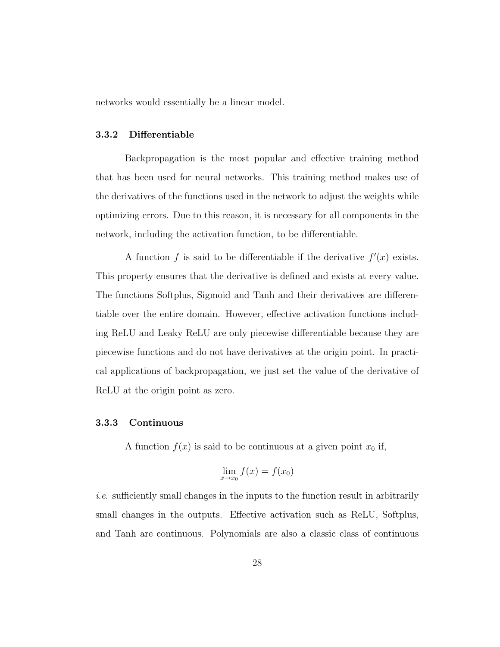networks would essentially be a linear model.

#### 3.3.2 Differentiable

Backpropagation is the most popular and effective training method that has been used for neural networks. This training method makes use of the derivatives of the functions used in the network to adjust the weights while optimizing errors. Due to this reason, it is necessary for all components in the network, including the activation function, to be differentiable.

A function f is said to be differentiable if the derivative  $f'(x)$  exists. This property ensures that the derivative is defined and exists at every value. The functions Softplus, Sigmoid and Tanh and their derivatives are differentiable over the entire domain. However, effective activation functions including ReLU and Leaky ReLU are only piecewise differentiable because they are piecewise functions and do not have derivatives at the origin point. In practical applications of backpropagation, we just set the value of the derivative of ReLU at the origin point as zero.

#### 3.3.3 Continuous

A function  $f(x)$  is said to be continuous at a given point  $x_0$  if,

$$
\lim_{x \to x_0} f(x) = f(x_0)
$$

i.e. sufficiently small changes in the inputs to the function result in arbitrarily small changes in the outputs. Effective activation such as ReLU, Softplus, and Tanh are continuous. Polynomials are also a classic class of continuous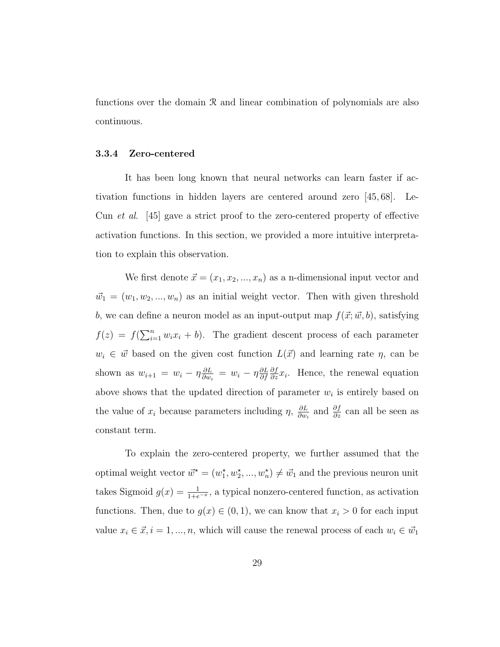functions over the domain R and linear combination of polynomials are also continuous.

### 3.3.4 Zero-centered

It has been long known that neural networks can learn faster if activation functions in hidden layers are centered around zero [45, 68]. Le-Cun et al. [45] gave a strict proof to the zero-centered property of effective activation functions. In this section, we provided a more intuitive interpretation to explain this observation.

We first denote  $\vec{x} = (x_1, x_2, ..., x_n)$  as a n-dimensional input vector and  $\vec{w}_1 = (w_1, w_2, ..., w_n)$  as an initial weight vector. Then with given threshold b, we can define a neuron model as an input-output map  $f(\vec{x}; \vec{w}, b)$ , satisfying  $f(z) = f(\sum_{i=1}^n w_i x_i + b)$ . The gradient descent process of each parameter  $w_i \in \vec{w}$  based on the given cost function  $L(\vec{x})$  and learning rate  $\eta$ , can be shown as  $w_{i+1} = w_i - \eta \frac{\partial L}{\partial w_i}$  $\frac{\partial L}{\partial w_i} = w_i - \eta \frac{\partial L}{\partial f}$ ∂f  $\frac{\partial f}{\partial z}x_i$ . Hence, the renewal equation above shows that the updated direction of parameter  $w_i$  is entirely based on the value of  $x_i$  because parameters including  $\eta$ ,  $\frac{\partial L}{\partial w_i}$  $\frac{\partial L}{\partial w_i}$  and  $\frac{\partial f}{\partial z}$  can all be seen as constant term.

To explain the zero-centered property, we further assumed that the optimal weight vector  $\vec{w}^* = (w_1^*, w_2^*, ..., w_n^*) \neq \vec{w}_1$  and the previous neuron unit takes Sigmoid  $g(x) = \frac{1}{1+e^{-x}}$ , a typical nonzero-centered function, as activation functions. Then, due to  $g(x) \in (0,1)$ , we can know that  $x_i > 0$  for each input value  $x_i \in \vec{x}, i = 1, ..., n$ , which will cause the renewal process of each  $w_i \in \vec{w}_1$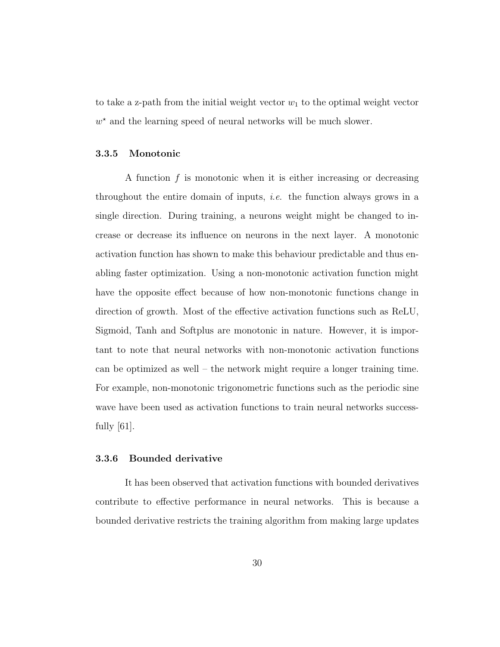to take a z-path from the initial weight vector  $w_1$  to the optimal weight vector  $w^*$  and the learning speed of neural networks will be much slower.

### 3.3.5 Monotonic

A function  $f$  is monotonic when it is either increasing or decreasing throughout the entire domain of inputs, *i.e.* the function always grows in a single direction. During training, a neurons weight might be changed to increase or decrease its influence on neurons in the next layer. A monotonic activation function has shown to make this behaviour predictable and thus enabling faster optimization. Using a non-monotonic activation function might have the opposite effect because of how non-monotonic functions change in direction of growth. Most of the effective activation functions such as ReLU, Sigmoid, Tanh and Softplus are monotonic in nature. However, it is important to note that neural networks with non-monotonic activation functions can be optimized as well – the network might require a longer training time. For example, non-monotonic trigonometric functions such as the periodic sine wave have been used as activation functions to train neural networks successfully [61].

#### 3.3.6 Bounded derivative

It has been observed that activation functions with bounded derivatives contribute to effective performance in neural networks. This is because a bounded derivative restricts the training algorithm from making large updates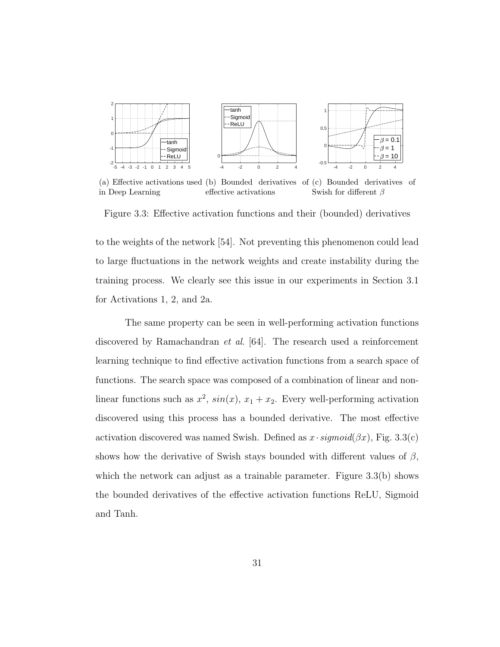

(a) Effective activations used (b) Bounded derivatives of (c) Bounded derivatives of in Deep Learning effective activations Swish for different  $\beta$ 

Figure 3.3: Effective activation functions and their (bounded) derivatives

to the weights of the network [54]. Not preventing this phenomenon could lead to large fluctuations in the network weights and create instability during the training process. We clearly see this issue in our experiments in Section 3.1 for Activations 1, 2, and 2a.

The same property can be seen in well-performing activation functions discovered by Ramachandran et al. [64]. The research used a reinforcement learning technique to find effective activation functions from a search space of functions. The search space was composed of a combination of linear and nonlinear functions such as  $x^2$ ,  $sin(x)$ ,  $x_1 + x_2$ . Every well-performing activation discovered using this process has a bounded derivative. The most effective activation discovered was named Swish. Defined as  $x \cdot sigmoid(\beta x)$ , Fig. 3.3(c) shows how the derivative of Swish stays bounded with different values of  $\beta$ , which the network can adjust as a trainable parameter. Figure 3.3(b) shows the bounded derivatives of the effective activation functions ReLU, Sigmoid and Tanh.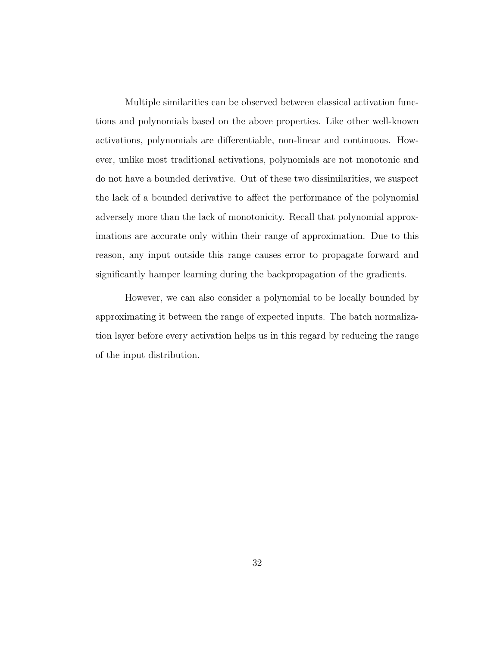Multiple similarities can be observed between classical activation functions and polynomials based on the above properties. Like other well-known activations, polynomials are differentiable, non-linear and continuous. However, unlike most traditional activations, polynomials are not monotonic and do not have a bounded derivative. Out of these two dissimilarities, we suspect the lack of a bounded derivative to affect the performance of the polynomial adversely more than the lack of monotonicity. Recall that polynomial approximations are accurate only within their range of approximation. Due to this reason, any input outside this range causes error to propagate forward and significantly hamper learning during the backpropagation of the gradients.

However, we can also consider a polynomial to be locally bounded by approximating it between the range of expected inputs. The batch normalization layer before every activation helps us in this regard by reducing the range of the input distribution.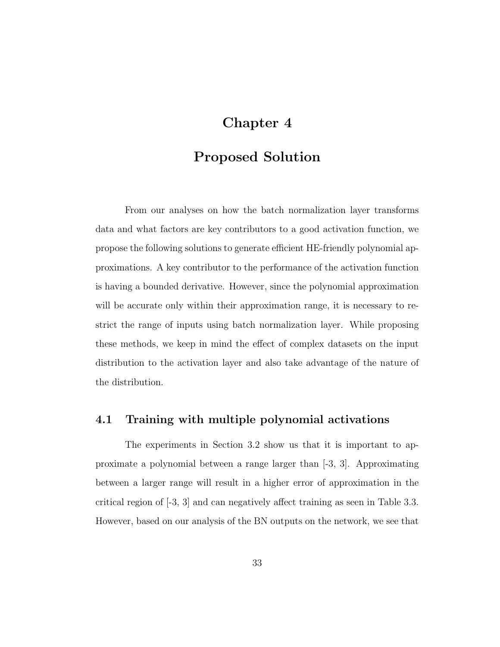# Chapter 4

## Proposed Solution

From our analyses on how the batch normalization layer transforms data and what factors are key contributors to a good activation function, we propose the following solutions to generate efficient HE-friendly polynomial approximations. A key contributor to the performance of the activation function is having a bounded derivative. However, since the polynomial approximation will be accurate only within their approximation range, it is necessary to restrict the range of inputs using batch normalization layer. While proposing these methods, we keep in mind the effect of complex datasets on the input distribution to the activation layer and also take advantage of the nature of the distribution.

## 4.1 Training with multiple polynomial activations

The experiments in Section 3.2 show us that it is important to approximate a polynomial between a range larger than [-3, 3]. Approximating between a larger range will result in a higher error of approximation in the critical region of [-3, 3] and can negatively affect training as seen in Table 3.3. However, based on our analysis of the BN outputs on the network, we see that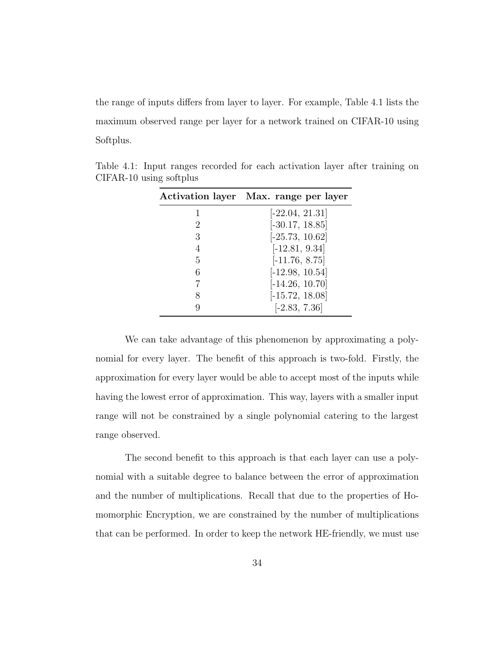the range of inputs differs from layer to layer. For example, Table 4.1 lists the maximum observed range per layer for a network trained on CIFAR-10 using Softplus.

|   | Activation layer Max. range per layer |
|---|---------------------------------------|
|   | $[-22.04, 21.31]$                     |
| 2 | $[-30.17, 18.85]$                     |
| 3 | $[-25.73, 10.62]$                     |
| 4 | $[-12.81, 9.34]$                      |
| 5 | $[-11.76, 8.75]$                      |
| 6 | $[-12.98, 10.54]$                     |
| 7 | $[-14.26, 10.70]$                     |
| 8 | $[-15.72, 18.08]$                     |
| Q | $[-2.83, 7.36]$                       |

Table 4.1: Input ranges recorded for each activation layer after training on CIFAR-10 using softplus

We can take advantage of this phenomenon by approximating a polynomial for every layer. The benefit of this approach is two-fold. Firstly, the approximation for every layer would be able to accept most of the inputs while having the lowest error of approximation. This way, layers with a smaller input range will not be constrained by a single polynomial catering to the largest range observed.

The second benefit to this approach is that each layer can use a polynomial with a suitable degree to balance between the error of approximation and the number of multiplications. Recall that due to the properties of Homomorphic Encryption, we are constrained by the number of multiplications that can be performed. In order to keep the network HE-friendly, we must use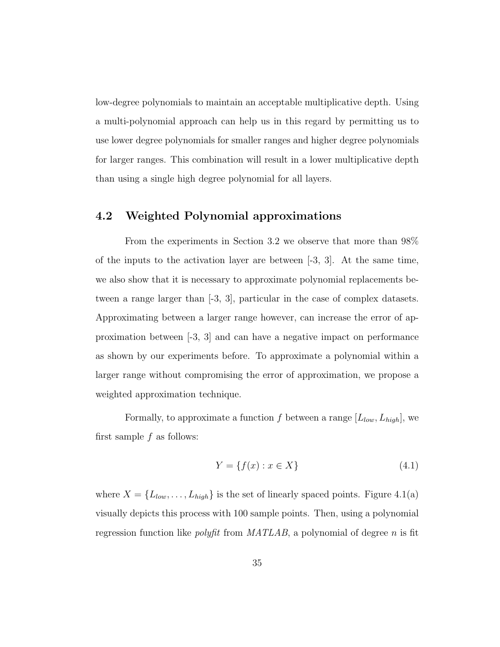low-degree polynomials to maintain an acceptable multiplicative depth. Using a multi-polynomial approach can help us in this regard by permitting us to use lower degree polynomials for smaller ranges and higher degree polynomials for larger ranges. This combination will result in a lower multiplicative depth than using a single high degree polynomial for all layers.

## 4.2 Weighted Polynomial approximations

From the experiments in Section 3.2 we observe that more than 98% of the inputs to the activation layer are between [-3, 3]. At the same time, we also show that it is necessary to approximate polynomial replacements between a range larger than [-3, 3], particular in the case of complex datasets. Approximating between a larger range however, can increase the error of approximation between [-3, 3] and can have a negative impact on performance as shown by our experiments before. To approximate a polynomial within a larger range without compromising the error of approximation, we propose a weighted approximation technique.

Formally, to approximate a function f between a range  $[L_{low}, L_{high}]$ , we first sample  $f$  as follows:

$$
Y = \{f(x) : x \in X\}
$$
\n
$$
(4.1)
$$

where  $X = \{L_{low}, \ldots, L_{high}\}\$ is the set of linearly spaced points. Figure 4.1(a) visually depicts this process with 100 sample points. Then, using a polynomial regression function like *polyfit* from  $MATLAB$ , a polynomial of degree n is fit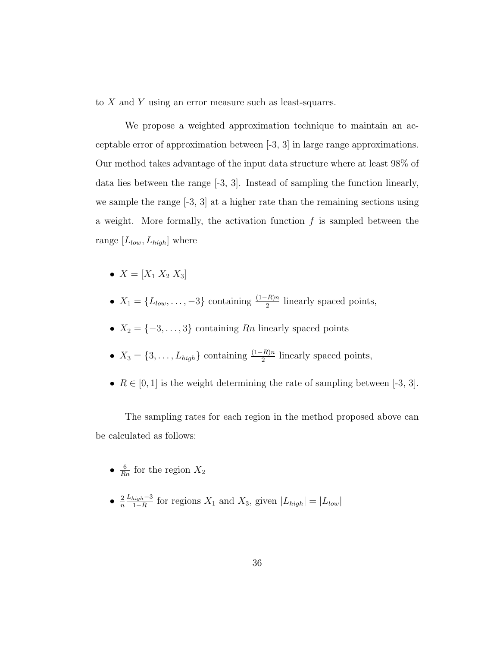to X and Y using an error measure such as least-squares.

We propose a weighted approximation technique to maintain an acceptable error of approximation between [-3, 3] in large range approximations. Our method takes advantage of the input data structure where at least 98% of data lies between the range [-3, 3]. Instead of sampling the function linearly, we sample the range [-3, 3] at a higher rate than the remaining sections using a weight. More formally, the activation function  $f$  is sampled between the range  $[L_{low}, L_{high}]$  where

- $X = [X_1 \ X_2 \ X_3]$
- $X_1 = \{L_{low}, \ldots, -3\}$  containing  $\frac{(1-R)n}{2}$  linearly spaced points,
- $X_2 = \{-3, \ldots, 3\}$  containing  $R_n$  linearly spaced points
- $X_3 = \{3, \ldots, L_{high}\}\$ containing  $\frac{(1-R)n}{2}$  linearly spaced points,
- $R \in [0, 1]$  is the weight determining the rate of sampling between [-3, 3].

The sampling rates for each region in the method proposed above can be calculated as follows:

- $\frac{6}{Rn}$  for the region  $X_2$
- $\bullet$   $\frac{2}{n}$ n  $L_{high}-3$  $\frac{i^{j}q_{h}-3}{1-R}$  for regions  $X_1$  and  $X_3$ , given  $|L_{high}| = |L_{low}|$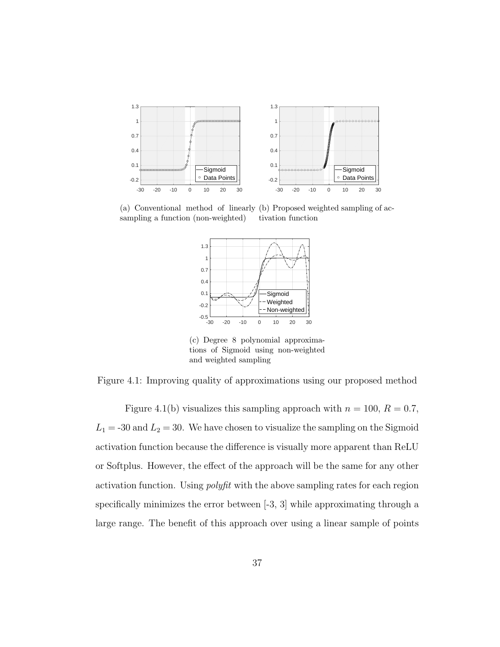

(a) Conventional method of linearly (b) Proposed weighted sampling of acsampling a function (non-weighted) tivation function



(c) Degree 8 polynomial approximations of Sigmoid using non-weighted and weighted sampling

Figure 4.1: Improving quality of approximations using our proposed method

Figure 4.1(b) visualizes this sampling approach with  $n = 100, R = 0.7$ ,  $L_1 = -30$  and  $L_2 = 30$ . We have chosen to visualize the sampling on the Sigmoid activation function because the difference is visually more apparent than ReLU or Softplus. However, the effect of the approach will be the same for any other activation function. Using polyfit with the above sampling rates for each region specifically minimizes the error between  $[-3, 3]$  while approximating through a large range. The benefit of this approach over using a linear sample of points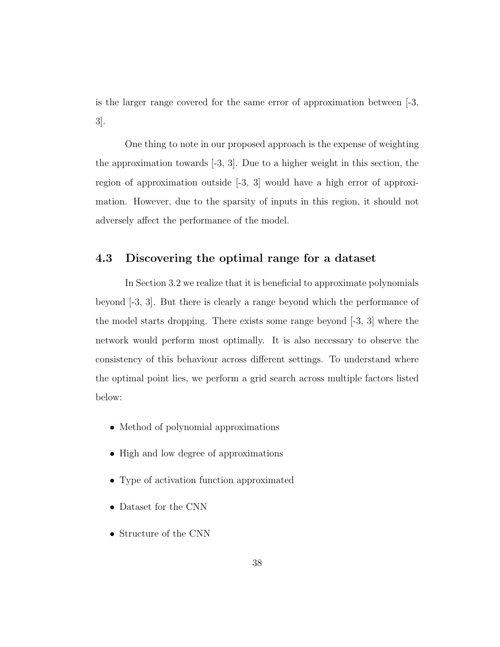is the larger range covered for the same error of approximation between [-3, 3].

One thing to note in our proposed approach is the expense of weighting the approximation towards [-3, 3]. Due to a higher weight in this section, the region of approximation outside [-3, 3] would have a high error of approximation. However, due to the sparsity of inputs in this region, it should not adversely affect the performance of the model.

## 4.3 Discovering the optimal range for a dataset

In Section 3.2 we realize that it is beneficial to approximate polynomials beyond [-3, 3]. But there is clearly a range beyond which the performance of the model starts dropping. There exists some range beyond  $[-3, 3]$  where the network would perform most optimally. It is also necessary to observe the consistency of this behaviour across different settings. To understand where the optimal point lies, we perform a grid search across multiple factors listed below:

- Method of polynomial approximations
- High and low degree of approximations
- Type of activation function approximated
- Dataset for the CNN
- Structure of the CNN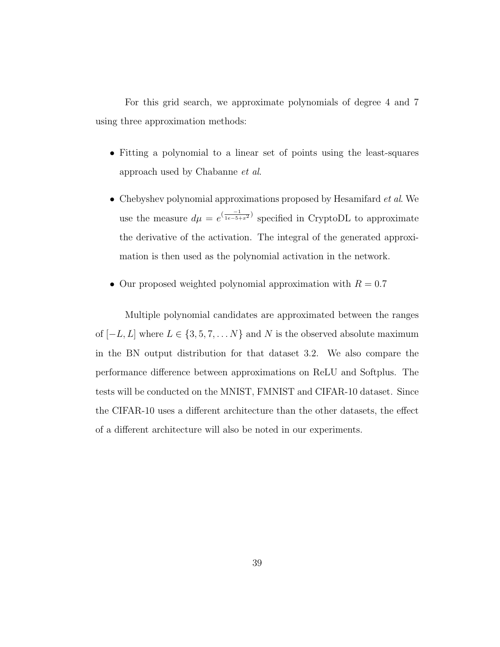For this grid search, we approximate polynomials of degree 4 and 7 using three approximation methods:

- Fitting a polynomial to a linear set of points using the least-squares approach used by Chabanne et al.
- Chebyshev polynomial approximations proposed by Hesamifard *et al.* We use the measure  $d\mu = e^{\left(\frac{-1}{1e-5+x^2}\right)}$  specified in CryptoDL to approximate the derivative of the activation. The integral of the generated approximation is then used as the polynomial activation in the network.
- Our proposed weighted polynomial approximation with  $R = 0.7$

Multiple polynomial candidates are approximated between the ranges of  $[-L, L]$  where  $L \in \{3, 5, 7, \ldots N\}$  and N is the observed absolute maximum in the BN output distribution for that dataset 3.2. We also compare the performance difference between approximations on ReLU and Softplus. The tests will be conducted on the MNIST, FMNIST and CIFAR-10 dataset. Since the CIFAR-10 uses a different architecture than the other datasets, the effect of a different architecture will also be noted in our experiments.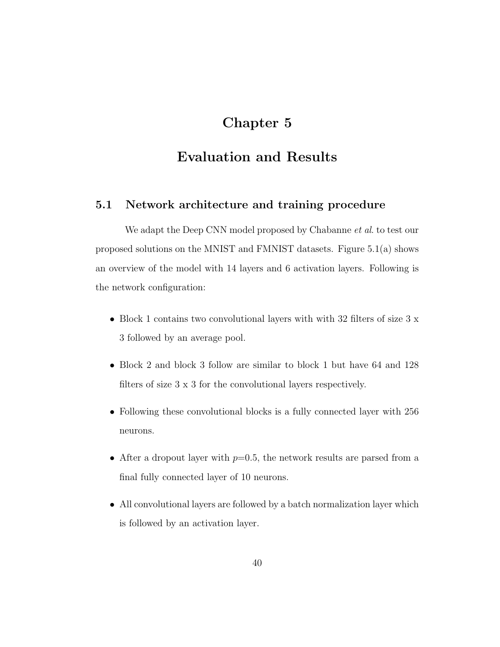# Chapter 5

## Evaluation and Results

## 5.1 Network architecture and training procedure

We adapt the Deep CNN model proposed by Chabanne *et al.* to test our proposed solutions on the MNIST and FMNIST datasets. Figure 5.1(a) shows an overview of the model with 14 layers and 6 activation layers. Following is the network configuration:

- Block 1 contains two convolutional layers with with 32 filters of size 3 x 3 followed by an average pool.
- Block 2 and block 3 follow are similar to block 1 but have 64 and 128 filters of size 3 x 3 for the convolutional layers respectively.
- Following these convolutional blocks is a fully connected layer with 256 neurons.
- After a dropout layer with  $p=0.5$ , the network results are parsed from a final fully connected layer of 10 neurons.
- All convolutional layers are followed by a batch normalization layer which is followed by an activation layer.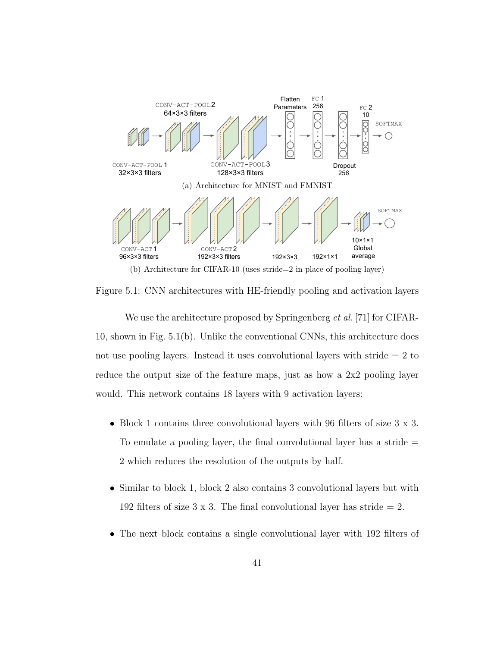

Figure 5.1: CNN architectures with HE-friendly pooling and activation layers

We use the architecture proposed by Springenberg *et al.* [71] for CIFAR-10, shown in Fig. 5.1(b). Unlike the conventional CNNs, this architecture does not use pooling layers. Instead it uses convolutional layers with stride = 2 to reduce the output size of the feature maps, just as how a 2x2 pooling layer would. This network contains 18 layers with 9 activation layers:

- Block 1 contains three convolutional layers with 96 filters of size  $3 \times 3$ . To emulate a pooling layer, the final convolutional layer has a stride  $=$ 2 which reduces the resolution of the outputs by half.
- Similar to block 1, block 2 also contains 3 convolutional layers but with 192 filters of size 3 x 3. The final convolutional layer has stride  $= 2$ .
- The next block contains a single convolutional layer with 192 filters of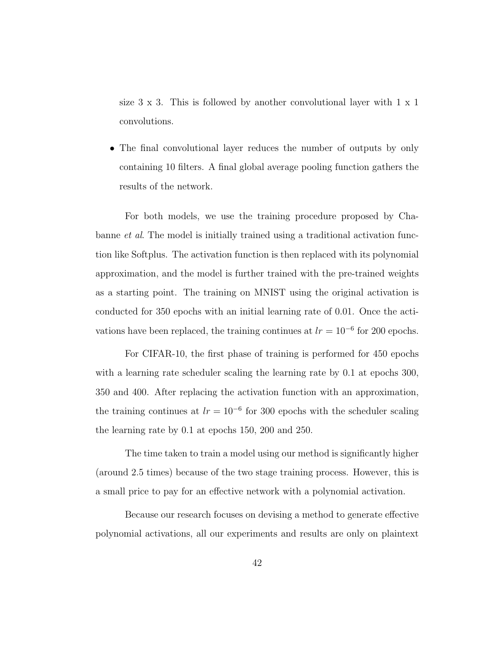size  $3 \times 3$ . This is followed by another convolutional layer with  $1 \times 1$ convolutions.

• The final convolutional layer reduces the number of outputs by only containing 10 filters. A final global average pooling function gathers the results of the network.

For both models, we use the training procedure proposed by Chabanne et al. The model is initially trained using a traditional activation function like Softplus. The activation function is then replaced with its polynomial approximation, and the model is further trained with the pre-trained weights as a starting point. The training on MNIST using the original activation is conducted for 350 epochs with an initial learning rate of 0.01. Once the activations have been replaced, the training continues at  $lr = 10^{-6}$  for 200 epochs.

For CIFAR-10, the first phase of training is performed for 450 epochs with a learning rate scheduler scaling the learning rate by 0.1 at epochs 300, 350 and 400. After replacing the activation function with an approximation, the training continues at  $lr = 10^{-6}$  for 300 epochs with the scheduler scaling the learning rate by 0.1 at epochs 150, 200 and 250.

The time taken to train a model using our method is significantly higher (around 2.5 times) because of the two stage training process. However, this is a small price to pay for an effective network with a polynomial activation.

Because our research focuses on devising a method to generate effective polynomial activations, all our experiments and results are only on plaintext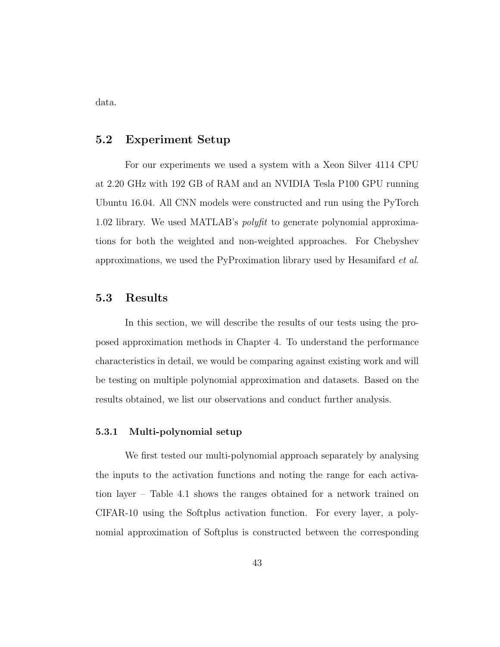data.

## 5.2 Experiment Setup

For our experiments we used a system with a Xeon Silver 4114 CPU at 2.20 GHz with 192 GB of RAM and an NVIDIA Tesla P100 GPU running Ubuntu 16.04. All CNN models were constructed and run using the PyTorch 1.02 library. We used MATLAB's polyfit to generate polynomial approximations for both the weighted and non-weighted approaches. For Chebyshev approximations, we used the PyProximation library used by Hesamifard et al.

## 5.3 Results

In this section, we will describe the results of our tests using the proposed approximation methods in Chapter 4. To understand the performance characteristics in detail, we would be comparing against existing work and will be testing on multiple polynomial approximation and datasets. Based on the results obtained, we list our observations and conduct further analysis.

#### 5.3.1 Multi-polynomial setup

We first tested our multi-polynomial approach separately by analysing the inputs to the activation functions and noting the range for each activation layer – Table 4.1 shows the ranges obtained for a network trained on CIFAR-10 using the Softplus activation function. For every layer, a polynomial approximation of Softplus is constructed between the corresponding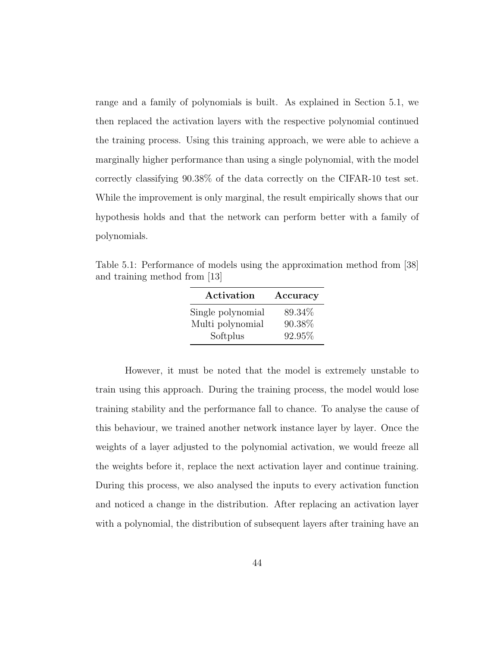range and a family of polynomials is built. As explained in Section 5.1, we then replaced the activation layers with the respective polynomial continued the training process. Using this training approach, we were able to achieve a marginally higher performance than using a single polynomial, with the model correctly classifying 90.38% of the data correctly on the CIFAR-10 test set. While the improvement is only marginal, the result empirically shows that our hypothesis holds and that the network can perform better with a family of polynomials.

Table 5.1: Performance of models using the approximation method from [38] and training method from [13]

| Activation        | Accuracy |
|-------------------|----------|
| Single polynomial | 89.34\%  |
| Multi polynomial  | 90.38%   |
| Softplus          | 92.95%   |

However, it must be noted that the model is extremely unstable to train using this approach. During the training process, the model would lose training stability and the performance fall to chance. To analyse the cause of this behaviour, we trained another network instance layer by layer. Once the weights of a layer adjusted to the polynomial activation, we would freeze all the weights before it, replace the next activation layer and continue training. During this process, we also analysed the inputs to every activation function and noticed a change in the distribution. After replacing an activation layer with a polynomial, the distribution of subsequent layers after training have an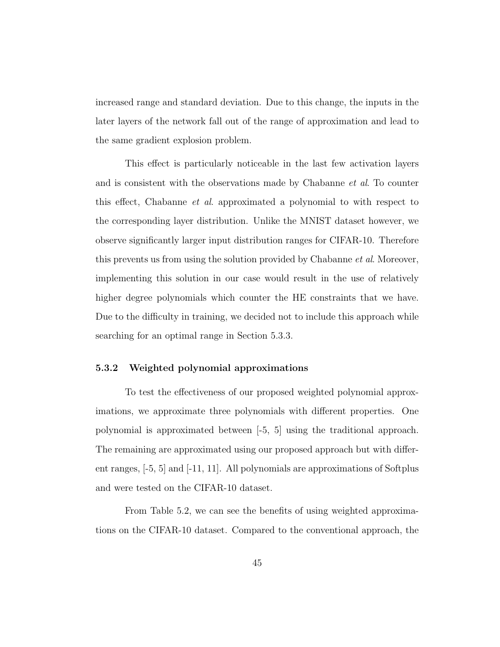increased range and standard deviation. Due to this change, the inputs in the later layers of the network fall out of the range of approximation and lead to the same gradient explosion problem.

This effect is particularly noticeable in the last few activation layers and is consistent with the observations made by Chabanne *et al.* To counter this effect, Chabanne et al. approximated a polynomial to with respect to the corresponding layer distribution. Unlike the MNIST dataset however, we observe significantly larger input distribution ranges for CIFAR-10. Therefore this prevents us from using the solution provided by Chabanne *et al.* Moreover, implementing this solution in our case would result in the use of relatively higher degree polynomials which counter the HE constraints that we have. Due to the difficulty in training, we decided not to include this approach while searching for an optimal range in Section 5.3.3.

## 5.3.2 Weighted polynomial approximations

To test the effectiveness of our proposed weighted polynomial approximations, we approximate three polynomials with different properties. One polynomial is approximated between [-5, 5] using the traditional approach. The remaining are approximated using our proposed approach but with different ranges, [-5, 5] and [-11, 11]. All polynomials are approximations of Softplus and were tested on the CIFAR-10 dataset.

From Table 5.2, we can see the benefits of using weighted approximations on the CIFAR-10 dataset. Compared to the conventional approach, the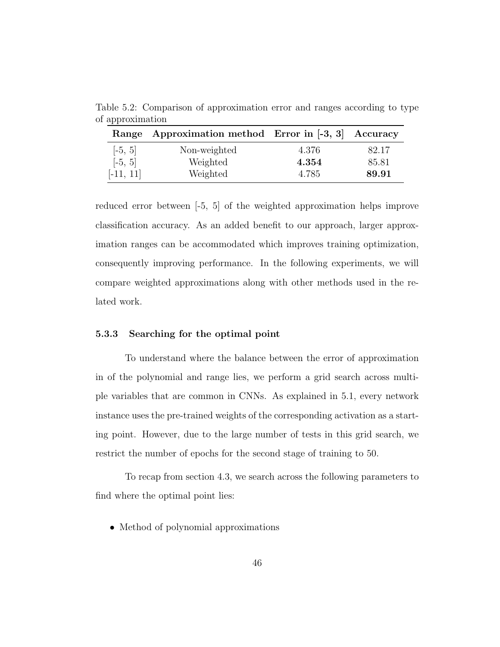Table 5.2: Comparison of approximation error and ranges according to type of approximation

|             | Range Approximation method Error in [-3, 3] Accuracy |       |       |
|-------------|------------------------------------------------------|-------|-------|
| $[-5, 5]$   | Non-weighted                                         | 4.376 | 82.17 |
| $[-5, 5]$   | Weighted                                             | 4.354 | 85.81 |
| $[-11, 11]$ | Weighted                                             | 4.785 | 89.91 |

reduced error between [-5, 5] of the weighted approximation helps improve classification accuracy. As an added benefit to our approach, larger approximation ranges can be accommodated which improves training optimization, consequently improving performance. In the following experiments, we will compare weighted approximations along with other methods used in the related work.

#### 5.3.3 Searching for the optimal point

To understand where the balance between the error of approximation in of the polynomial and range lies, we perform a grid search across multiple variables that are common in CNNs. As explained in 5.1, every network instance uses the pre-trained weights of the corresponding activation as a starting point. However, due to the large number of tests in this grid search, we restrict the number of epochs for the second stage of training to 50.

To recap from section 4.3, we search across the following parameters to find where the optimal point lies:

• Method of polynomial approximations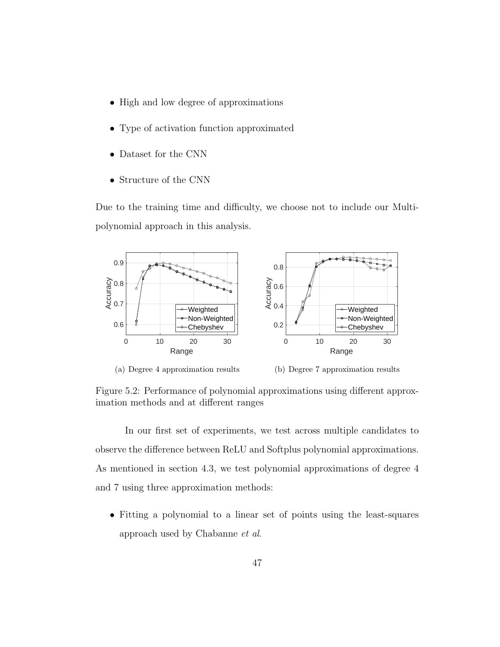- High and low degree of approximations
- Type of activation function approximated
- Dataset for the CNN
- Structure of the CNN

Due to the training time and difficulty, we choose not to include our Multipolynomial approach in this analysis.



(a) Degree 4 approximation results

(b) Degree 7 approximation results

Figure 5.2: Performance of polynomial approximations using different approximation methods and at different ranges

In our first set of experiments, we test across multiple candidates to observe the difference between ReLU and Softplus polynomial approximations. As mentioned in section 4.3, we test polynomial approximations of degree 4 and 7 using three approximation methods:

• Fitting a polynomial to a linear set of points using the least-squares approach used by Chabanne et al.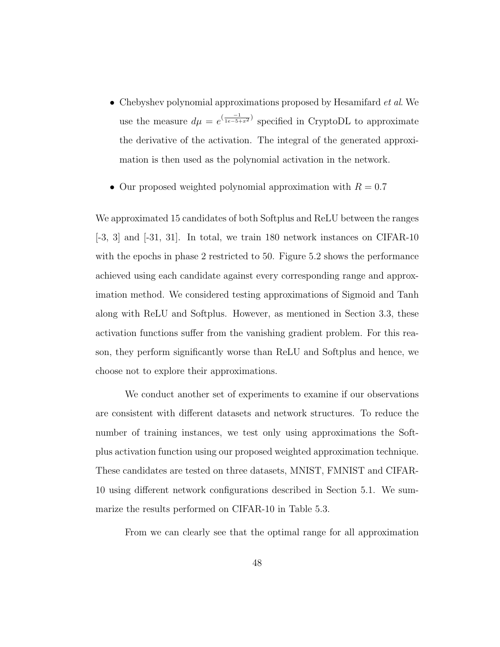- Chebyshev polynomial approximations proposed by Hesamifard *et al.* We use the measure  $d\mu = e^{\left(\frac{-1}{1e-5+x^2}\right)}$  specified in CryptoDL to approximate the derivative of the activation. The integral of the generated approximation is then used as the polynomial activation in the network.
- Our proposed weighted polynomial approximation with  $R = 0.7$

We approximated 15 candidates of both Softplus and ReLU between the ranges  $[-3, 3]$  and  $[-31, 31]$ . In total, we train 180 network instances on CIFAR-10 with the epochs in phase 2 restricted to 50. Figure 5.2 shows the performance achieved using each candidate against every corresponding range and approximation method. We considered testing approximations of Sigmoid and Tanh along with ReLU and Softplus. However, as mentioned in Section 3.3, these activation functions suffer from the vanishing gradient problem. For this reason, they perform significantly worse than ReLU and Softplus and hence, we choose not to explore their approximations.

We conduct another set of experiments to examine if our observations are consistent with different datasets and network structures. To reduce the number of training instances, we test only using approximations the Softplus activation function using our proposed weighted approximation technique. These candidates are tested on three datasets, MNIST, FMNIST and CIFAR-10 using different network configurations described in Section 5.1. We summarize the results performed on CIFAR-10 in Table 5.3.

From we can clearly see that the optimal range for all approximation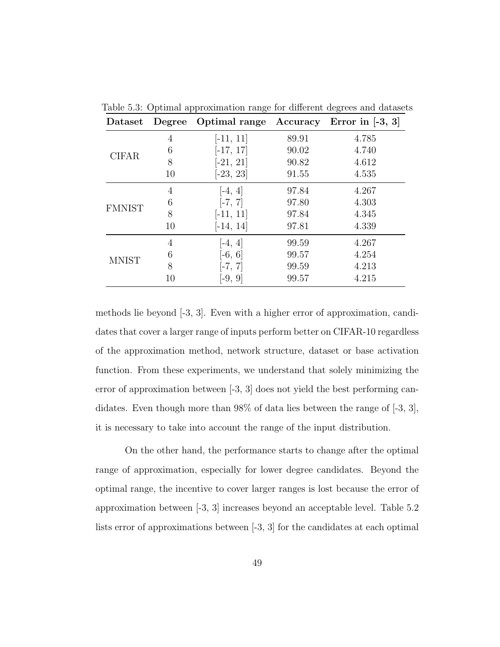| Dataset       |    | Degree Optimal range |       | Accuracy Error in $[-3, 3]$ |
|---------------|----|----------------------|-------|-----------------------------|
| <b>CIFAR</b>  | 4  | $[-11, 11]$          | 89.91 | 4.785                       |
|               | 6  | $[-17, 17]$          | 90.02 | 4.740                       |
|               | 8  | $[-21, 21]$          | 90.82 | 4.612                       |
|               | 10 | $[-23, 23]$          | 91.55 | 4.535                       |
| <b>FMNIST</b> | 4  | $[-4, 4]$            | 97.84 | 4.267                       |
|               | 6  | $[-7, 7]$            | 97.80 | 4.303                       |
|               | 8  | $[-11, 11]$          | 97.84 | 4.345                       |
|               | 10 | $[-14, 14]$          | 97.81 | 4.339                       |
| <b>MNIST</b>  | 4  | $-4, 4$              | 99.59 | 4.267                       |
|               | 6  | $[-6, 6]$            | 99.57 | 4.254                       |
|               | 8  | $[-7, 7]$            | 99.59 | 4.213                       |
|               | 10 | $[-9, 9]$            | 99.57 | 4.215                       |

Table 5.3: Optimal approximation range for different degrees and datasets

methods lie beyond [-3, 3]. Even with a higher error of approximation, candidates that cover a larger range of inputs perform better on CIFAR-10 regardless of the approximation method, network structure, dataset or base activation function. From these experiments, we understand that solely minimizing the error of approximation between [-3, 3] does not yield the best performing candidates. Even though more than 98% of data lies between the range of  $[-3, 3]$ , it is necessary to take into account the range of the input distribution.

On the other hand, the performance starts to change after the optimal range of approximation, especially for lower degree candidates. Beyond the optimal range, the incentive to cover larger ranges is lost because the error of approximation between [-3, 3] increases beyond an acceptable level. Table 5.2 lists error of approximations between [-3, 3] for the candidates at each optimal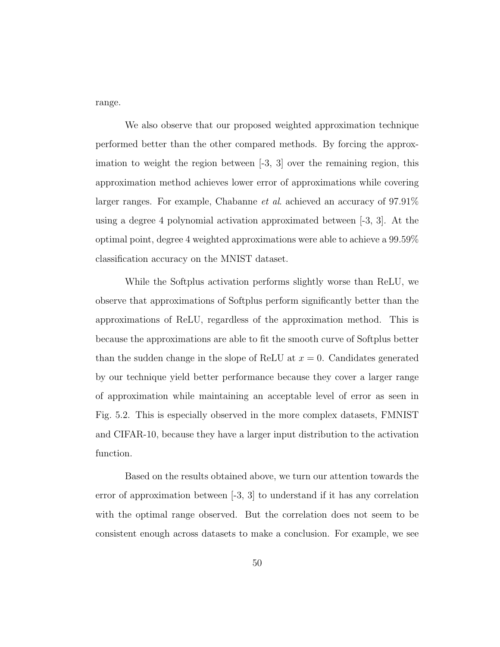range.

We also observe that our proposed weighted approximation technique performed better than the other compared methods. By forcing the approximation to weight the region between [-3, 3] over the remaining region, this approximation method achieves lower error of approximations while covering larger ranges. For example, Chabanne *et al.* achieved an accuracy of  $97.91\%$ using a degree 4 polynomial activation approximated between [-3, 3]. At the optimal point, degree 4 weighted approximations were able to achieve a 99.59% classification accuracy on the MNIST dataset.

While the Softplus activation performs slightly worse than ReLU, we observe that approximations of Softplus perform significantly better than the approximations of ReLU, regardless of the approximation method. This is because the approximations are able to fit the smooth curve of Softplus better than the sudden change in the slope of ReLU at  $x = 0$ . Candidates generated by our technique yield better performance because they cover a larger range of approximation while maintaining an acceptable level of error as seen in Fig. 5.2. This is especially observed in the more complex datasets, FMNIST and CIFAR-10, because they have a larger input distribution to the activation function.

Based on the results obtained above, we turn our attention towards the error of approximation between [-3, 3] to understand if it has any correlation with the optimal range observed. But the correlation does not seem to be consistent enough across datasets to make a conclusion. For example, we see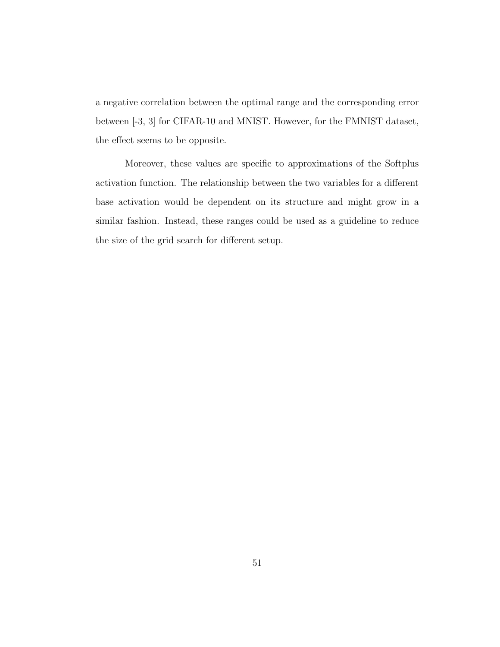a negative correlation between the optimal range and the corresponding error between [-3, 3] for CIFAR-10 and MNIST. However, for the FMNIST dataset, the effect seems to be opposite.

Moreover, these values are specific to approximations of the Softplus activation function. The relationship between the two variables for a different base activation would be dependent on its structure and might grow in a similar fashion. Instead, these ranges could be used as a guideline to reduce the size of the grid search for different setup.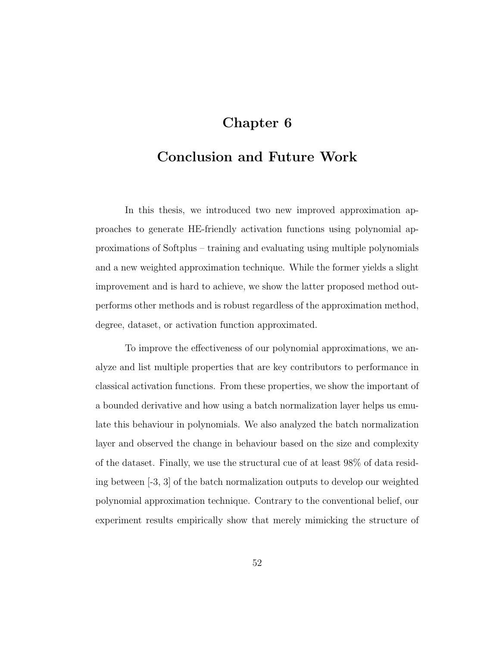# Chapter 6

# Conclusion and Future Work

In this thesis, we introduced two new improved approximation approaches to generate HE-friendly activation functions using polynomial approximations of Softplus – training and evaluating using multiple polynomials and a new weighted approximation technique. While the former yields a slight improvement and is hard to achieve, we show the latter proposed method outperforms other methods and is robust regardless of the approximation method, degree, dataset, or activation function approximated.

To improve the effectiveness of our polynomial approximations, we analyze and list multiple properties that are key contributors to performance in classical activation functions. From these properties, we show the important of a bounded derivative and how using a batch normalization layer helps us emulate this behaviour in polynomials. We also analyzed the batch normalization layer and observed the change in behaviour based on the size and complexity of the dataset. Finally, we use the structural cue of at least 98% of data residing between [-3, 3] of the batch normalization outputs to develop our weighted polynomial approximation technique. Contrary to the conventional belief, our experiment results empirically show that merely mimicking the structure of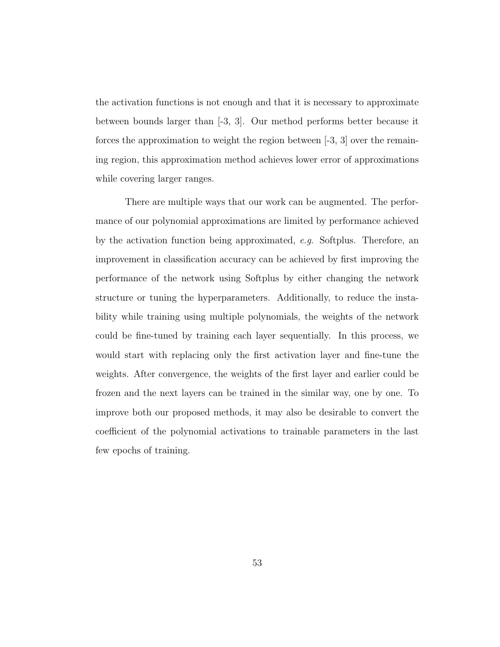the activation functions is not enough and that it is necessary to approximate between bounds larger than [-3, 3]. Our method performs better because it forces the approximation to weight the region between  $[-3, 3]$  over the remaining region, this approximation method achieves lower error of approximations while covering larger ranges.

There are multiple ways that our work can be augmented. The performance of our polynomial approximations are limited by performance achieved by the activation function being approximated, e.g. Softplus. Therefore, an improvement in classification accuracy can be achieved by first improving the performance of the network using Softplus by either changing the network structure or tuning the hyperparameters. Additionally, to reduce the instability while training using multiple polynomials, the weights of the network could be fine-tuned by training each layer sequentially. In this process, we would start with replacing only the first activation layer and fine-tune the weights. After convergence, the weights of the first layer and earlier could be frozen and the next layers can be trained in the similar way, one by one. To improve both our proposed methods, it may also be desirable to convert the coefficient of the polynomial activations to trainable parameters in the last few epochs of training.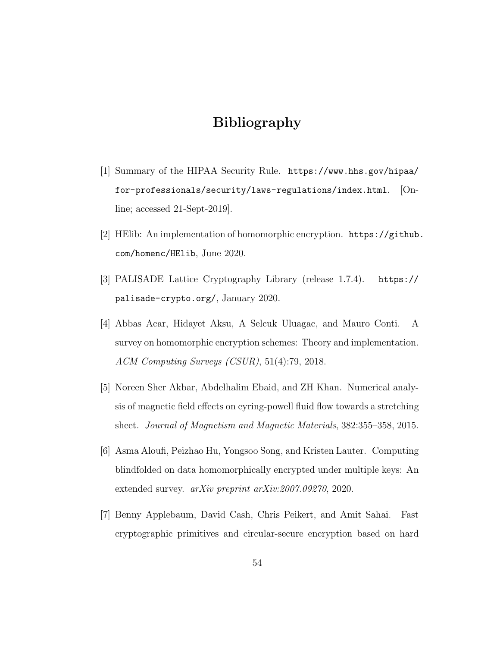# Bibliography

- [1] Summary of the HIPAA Security Rule. https://www.hhs.gov/hipaa/ for-professionals/security/laws-regulations/index.html.  $[On$ line; accessed 21-Sept-2019].
- [2] HElib: An implementation of homomorphic encryption. https://github. com/homenc/HElib, June 2020.
- [3] PALISADE Lattice Cryptography Library (release 1.7.4). https:// palisade-crypto.org/, January 2020.
- [4] Abbas Acar, Hidayet Aksu, A Selcuk Uluagac, and Mauro Conti. A survey on homomorphic encryption schemes: Theory and implementation. ACM Computing Surveys (CSUR), 51(4):79, 2018.
- [5] Noreen Sher Akbar, Abdelhalim Ebaid, and ZH Khan. Numerical analysis of magnetic field effects on eyring-powell fluid flow towards a stretching sheet. Journal of Magnetism and Magnetic Materials, 382:355–358, 2015.
- [6] Asma Aloufi, Peizhao Hu, Yongsoo Song, and Kristen Lauter. Computing blindfolded on data homomorphically encrypted under multiple keys: An extended survey. arXiv preprint arXiv:2007.09270, 2020.
- [7] Benny Applebaum, David Cash, Chris Peikert, and Amit Sahai. Fast cryptographic primitives and circular-secure encryption based on hard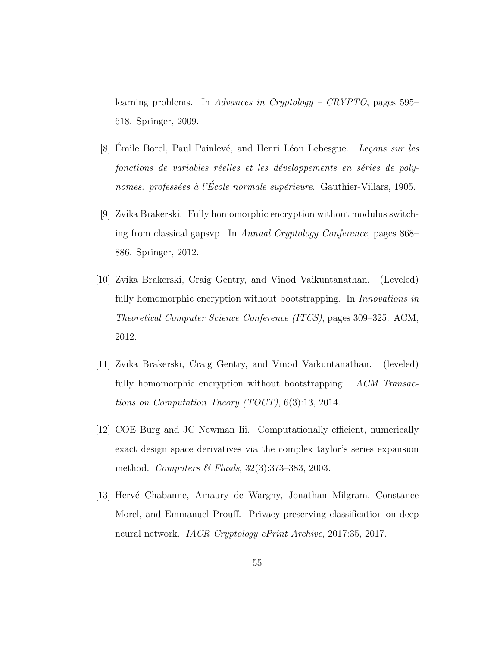learning problems. In Advances in Cryptology – CRYPTO, pages 595– 618. Springer, 2009.

- [8] Emile Borel, Paul Painlevé, and Henri Léon Lebesgue. *Leçons sur les* fonctions de variables réelles et les développements en séries de polynomes: professées à l'École normale supérieure. Gauthier-Villars, 1905.
- [9] Zvika Brakerski. Fully homomorphic encryption without modulus switching from classical gapsvp. In Annual Cryptology Conference, pages 868– 886. Springer, 2012.
- [10] Zvika Brakerski, Craig Gentry, and Vinod Vaikuntanathan. (Leveled) fully homomorphic encryption without bootstrapping. In *Innovations in* Theoretical Computer Science Conference (ITCS), pages 309–325. ACM, 2012.
- [11] Zvika Brakerski, Craig Gentry, and Vinod Vaikuntanathan. (leveled) fully homomorphic encryption without bootstrapping. ACM Transactions on Computation Theory (TOCT), 6(3):13, 2014.
- [12] COE Burg and JC Newman Iii. Computationally efficient, numerically exact design space derivatives via the complex taylor's series expansion method. Computers & Fluids, 32(3):373–383, 2003.
- [13] Hervé Chabanne, Amaury de Wargny, Jonathan Milgram, Constance Morel, and Emmanuel Prouff. Privacy-preserving classification on deep neural network. *IACR Cryptology ePrint Archive*, 2017:35, 2017.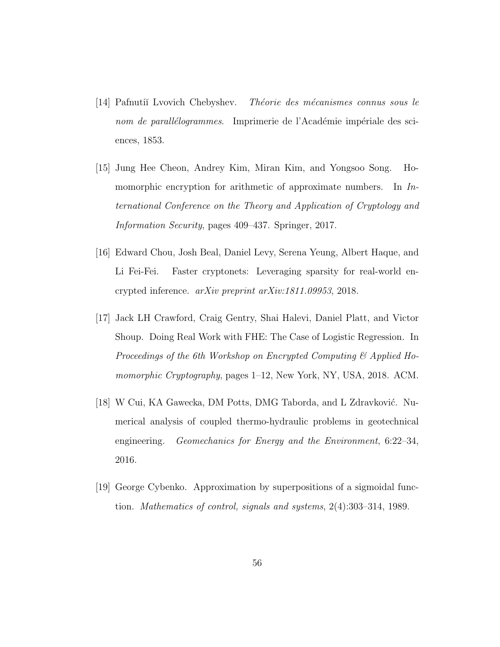- [14] Pafnutiĭ Lvovich Chebyshev. Théorie des mécanismes connus sous le nom de parallélogrammes. Imprimerie de l'Académie impériale des sciences, 1853.
- [15] Jung Hee Cheon, Andrey Kim, Miran Kim, and Yongsoo Song. Homomorphic encryption for arithmetic of approximate numbers. In International Conference on the Theory and Application of Cryptology and Information Security, pages 409–437. Springer, 2017.
- [16] Edward Chou, Josh Beal, Daniel Levy, Serena Yeung, Albert Haque, and Li Fei-Fei. Faster cryptonets: Leveraging sparsity for real-world encrypted inference. arXiv preprint arXiv:1811.09953, 2018.
- [17] Jack LH Crawford, Craig Gentry, Shai Halevi, Daniel Platt, and Victor Shoup. Doing Real Work with FHE: The Case of Logistic Regression. In Proceedings of the 6th Workshop on Encrypted Computing & Applied Homomorphic Cryptography, pages 1–12, New York, NY, USA, 2018. ACM.
- [18] W Cui, KA Gawecka, DM Potts, DMG Taborda, and L Zdravković. Numerical analysis of coupled thermo-hydraulic problems in geotechnical engineering. Geomechanics for Energy and the Environment, 6:22–34, 2016.
- [19] George Cybenko. Approximation by superpositions of a sigmoidal function. Mathematics of control, signals and systems, 2(4):303–314, 1989.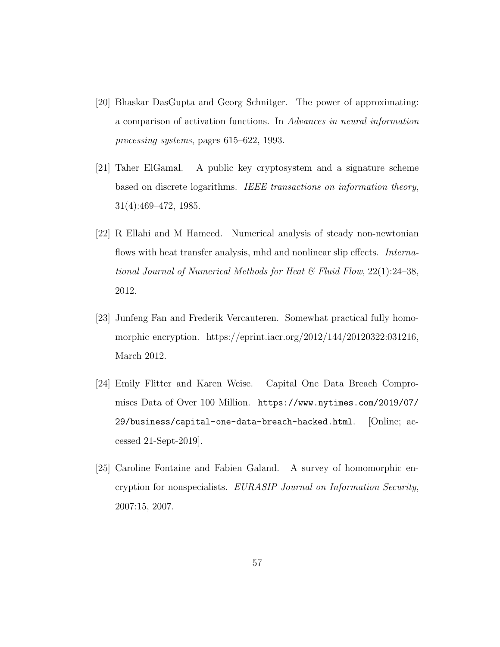- [20] Bhaskar DasGupta and Georg Schnitger. The power of approximating: a comparison of activation functions. In Advances in neural information processing systems, pages 615–622, 1993.
- [21] Taher ElGamal. A public key cryptosystem and a signature scheme based on discrete logarithms. IEEE transactions on information theory, 31(4):469–472, 1985.
- [22] R Ellahi and M Hameed. Numerical analysis of steady non-newtonian flows with heat transfer analysis, mhd and nonlinear slip effects. *Interna*tional Journal of Numerical Methods for Heat  $\mathcal C$  Fluid Flow, 22(1):24–38, 2012.
- [23] Junfeng Fan and Frederik Vercauteren. Somewhat practical fully homomorphic encryption. https://eprint.iacr.org/2012/144/20120322:031216, March 2012.
- [24] Emily Flitter and Karen Weise. Capital One Data Breach Compromises Data of Over 100 Million. https://www.nytimes.com/2019/07/ 29/business/capital-one-data-breach-hacked.html. [Online; accessed 21-Sept-2019].
- [25] Caroline Fontaine and Fabien Galand. A survey of homomorphic encryption for nonspecialists. EURASIP Journal on Information Security, 2007:15, 2007.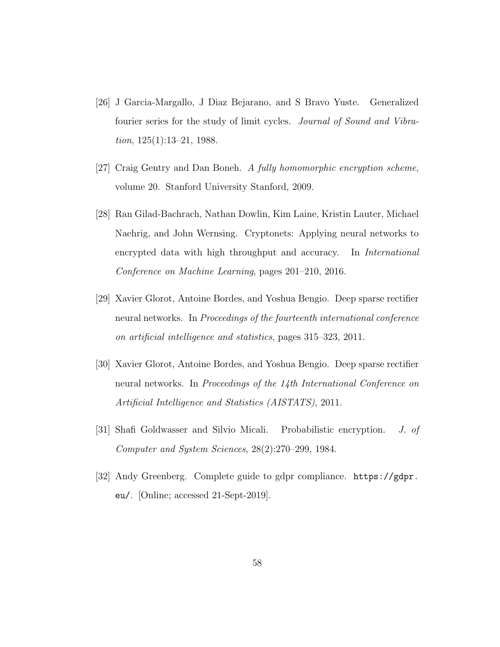- [26] J Garcia-Margallo, J Diaz Bejarano, and S Bravo Yuste. Generalized fourier series for the study of limit cycles. Journal of Sound and Vibration, 125(1):13–21, 1988.
- [27] Craig Gentry and Dan Boneh. A fully homomorphic encryption scheme, volume 20. Stanford University Stanford, 2009.
- [28] Ran Gilad-Bachrach, Nathan Dowlin, Kim Laine, Kristin Lauter, Michael Naehrig, and John Wernsing. Cryptonets: Applying neural networks to encrypted data with high throughput and accuracy. In International Conference on Machine Learning, pages 201–210, 2016.
- [29] Xavier Glorot, Antoine Bordes, and Yoshua Bengio. Deep sparse rectifier neural networks. In *Proceedings of the fourteenth international conference* on artificial intelligence and statistics, pages 315–323, 2011.
- [30] Xavier Glorot, Antoine Bordes, and Yoshua Bengio. Deep sparse rectifier neural networks. In Proceedings of the 14th International Conference on Artificial Intelligence and Statistics (AISTATS), 2011.
- [31] Shafi Goldwasser and Silvio Micali. Probabilistic encryption. J. of Computer and System Sciences, 28(2):270–299, 1984.
- [32] Andy Greenberg. Complete guide to gdpr compliance. https://gdpr. eu/. [Online; accessed 21-Sept-2019].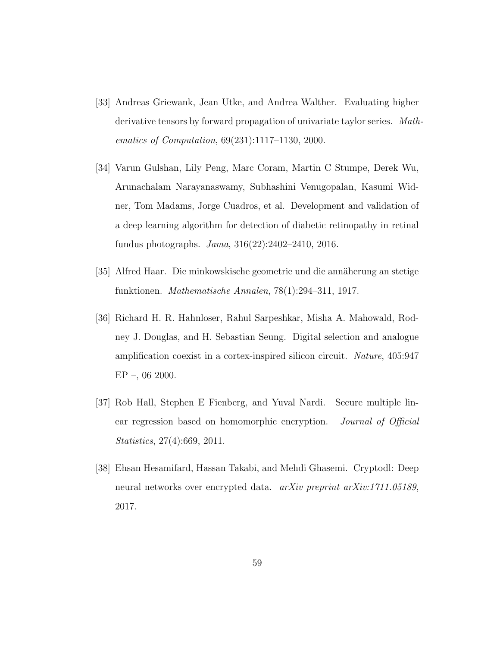- [33] Andreas Griewank, Jean Utke, and Andrea Walther. Evaluating higher derivative tensors by forward propagation of univariate taylor series. Mathematics of Computation, 69(231):1117–1130, 2000.
- [34] Varun Gulshan, Lily Peng, Marc Coram, Martin C Stumpe, Derek Wu, Arunachalam Narayanaswamy, Subhashini Venugopalan, Kasumi Widner, Tom Madams, Jorge Cuadros, et al. Development and validation of a deep learning algorithm for detection of diabetic retinopathy in retinal fundus photographs. Jama, 316(22):2402–2410, 2016.
- [35] Alfred Haar. Die minkowskische geometrie und die annäherung an stetige funktionen. Mathematische Annalen, 78(1):294–311, 1917.
- [36] Richard H. R. Hahnloser, Rahul Sarpeshkar, Misha A. Mahowald, Rodney J. Douglas, and H. Sebastian Seung. Digital selection and analogue amplification coexist in a cortex-inspired silicon circuit. Nature, 405:947  $EP -$ , 06 2000.
- [37] Rob Hall, Stephen E Fienberg, and Yuval Nardi. Secure multiple linear regression based on homomorphic encryption. *Journal of Official* Statistics, 27(4):669, 2011.
- [38] Ehsan Hesamifard, Hassan Takabi, and Mehdi Ghasemi. Cryptodl: Deep neural networks over encrypted data. arXiv preprint arXiv:1711.05189, 2017.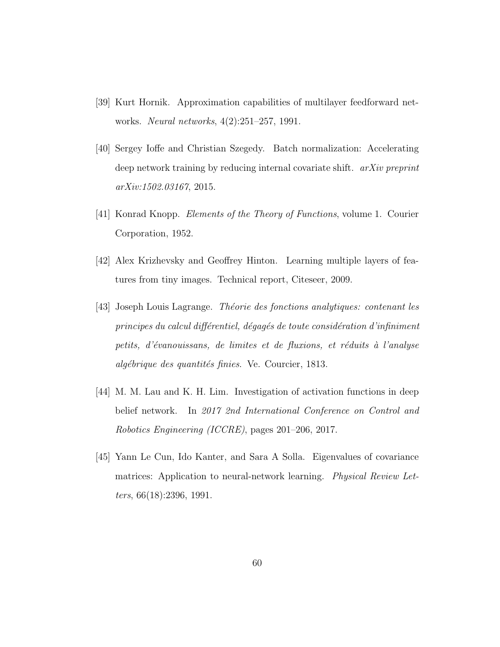- [39] Kurt Hornik. Approximation capabilities of multilayer feedforward networks. Neural networks, 4(2):251–257, 1991.
- [40] Sergey Ioffe and Christian Szegedy. Batch normalization: Accelerating deep network training by reducing internal covariate shift. *arXiv preprint* arXiv:1502.03167, 2015.
- [41] Konrad Knopp. Elements of the Theory of Functions, volume 1. Courier Corporation, 1952.
- [42] Alex Krizhevsky and Geoffrey Hinton. Learning multiple layers of features from tiny images. Technical report, Citeseer, 2009.
- [43] Joseph Louis Lagrange. Théorie des fonctions analytiques: contenant les principes du calcul différentiel, dégagés de toute considération d'infiniment petits, d'évanouissans, de limites et de fluxions, et réduits à l'analyse algébrique des quantités finies. Ve. Courcier, 1813.
- [44] M. M. Lau and K. H. Lim. Investigation of activation functions in deep belief network. In 2017 2nd International Conference on Control and Robotics Engineering (ICCRE), pages 201–206, 2017.
- [45] Yann Le Cun, Ido Kanter, and Sara A Solla. Eigenvalues of covariance matrices: Application to neural-network learning. *Physical Review Let*ters, 66(18):2396, 1991.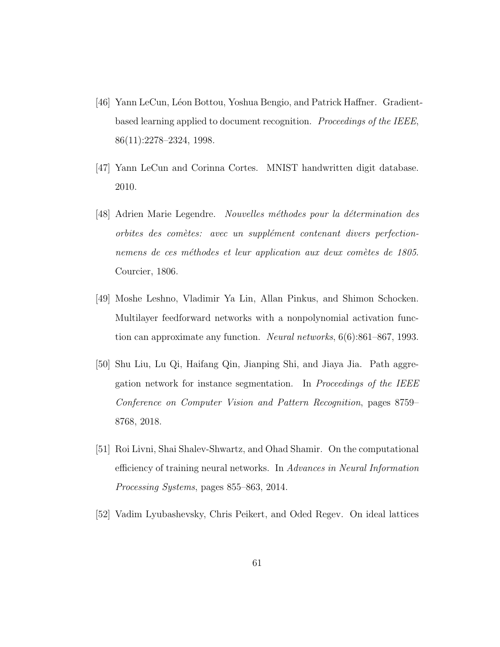- [46] Yann LeCun, Léon Bottou, Yoshua Bengio, and Patrick Haffner. Gradientbased learning applied to document recognition. Proceedings of the IEEE, 86(11):2278–2324, 1998.
- [47] Yann LeCun and Corinna Cortes. MNIST handwritten digit database. 2010.
- [48] Adrien Marie Legendre. Nouvelles méthodes pour la détermination des orbites des comètes: avec un supplément contenant divers perfectionnemens de ces méthodes et leur application aux deux comètes de 1805. Courcier, 1806.
- [49] Moshe Leshno, Vladimir Ya Lin, Allan Pinkus, and Shimon Schocken. Multilayer feedforward networks with a nonpolynomial activation function can approximate any function. Neural networks, 6(6):861–867, 1993.
- [50] Shu Liu, Lu Qi, Haifang Qin, Jianping Shi, and Jiaya Jia. Path aggregation network for instance segmentation. In Proceedings of the IEEE Conference on Computer Vision and Pattern Recognition, pages 8759– 8768, 2018.
- [51] Roi Livni, Shai Shalev-Shwartz, and Ohad Shamir. On the computational efficiency of training neural networks. In Advances in Neural Information Processing Systems, pages 855–863, 2014.
- [52] Vadim Lyubashevsky, Chris Peikert, and Oded Regev. On ideal lattices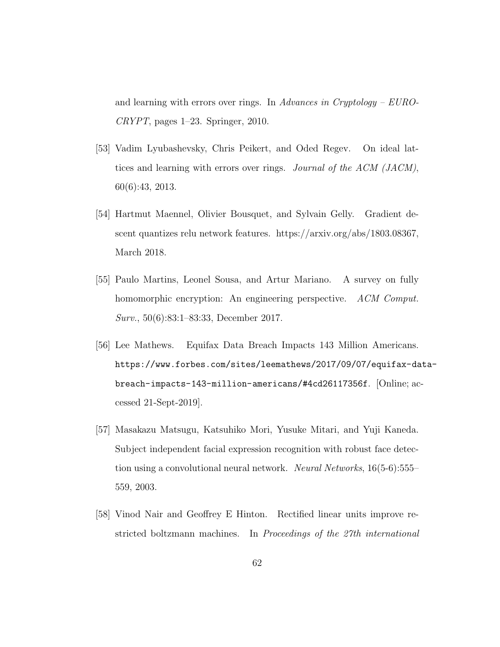and learning with errors over rings. In Advances in Cryptology –  $Euro$ - $CRYPT$ , pages 1–23. Springer, 2010.

- [53] Vadim Lyubashevsky, Chris Peikert, and Oded Regev. On ideal lattices and learning with errors over rings. Journal of the ACM (JACM), 60(6):43, 2013.
- [54] Hartmut Maennel, Olivier Bousquet, and Sylvain Gelly. Gradient descent quantizes relu network features. https://arxiv.org/abs/1803.08367, March 2018.
- [55] Paulo Martins, Leonel Sousa, and Artur Mariano. A survey on fully homomorphic encryption: An engineering perspective. ACM Comput. Surv., 50(6):83:1–83:33, December 2017.
- [56] Lee Mathews. Equifax Data Breach Impacts 143 Million Americans. https://www.forbes.com/sites/leemathews/2017/09/07/equifax-databreach-impacts-143-million-americans/#4cd26117356f. [Online; accessed 21-Sept-2019].
- [57] Masakazu Matsugu, Katsuhiko Mori, Yusuke Mitari, and Yuji Kaneda. Subject independent facial expression recognition with robust face detection using a convolutional neural network. Neural Networks, 16(5-6):555– 559, 2003.
- [58] Vinod Nair and Geoffrey E Hinton. Rectified linear units improve restricted boltzmann machines. In Proceedings of the 27th international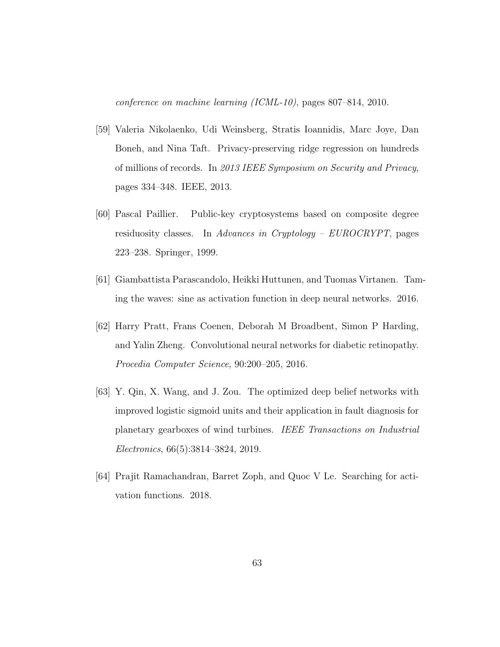conference on machine learning (ICML-10), pages 807–814, 2010.

- [59] Valeria Nikolaenko, Udi Weinsberg, Stratis Ioannidis, Marc Joye, Dan Boneh, and Nina Taft. Privacy-preserving ridge regression on hundreds of millions of records. In 2013 IEEE Symposium on Security and Privacy, pages 334–348. IEEE, 2013.
- [60] Pascal Paillier. Public-key cryptosystems based on composite degree residuosity classes. In Advances in Cryptology – EUROCRYPT, pages 223–238. Springer, 1999.
- [61] Giambattista Parascandolo, Heikki Huttunen, and Tuomas Virtanen. Taming the waves: sine as activation function in deep neural networks. 2016.
- [62] Harry Pratt, Frans Coenen, Deborah M Broadbent, Simon P Harding, and Yalin Zheng. Convolutional neural networks for diabetic retinopathy. Procedia Computer Science, 90:200–205, 2016.
- [63] Y. Qin, X. Wang, and J. Zou. The optimized deep belief networks with improved logistic sigmoid units and their application in fault diagnosis for planetary gearboxes of wind turbines. IEEE Transactions on Industrial Electronics, 66(5):3814–3824, 2019.
- [64] Prajit Ramachandran, Barret Zoph, and Quoc V Le. Searching for activation functions. 2018.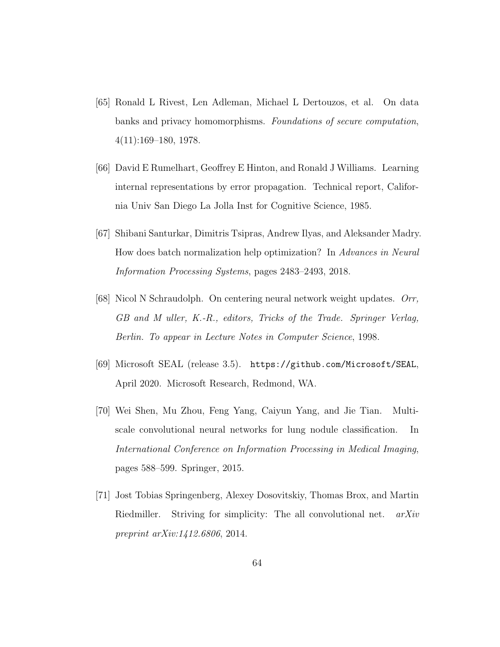- [65] Ronald L Rivest, Len Adleman, Michael L Dertouzos, et al. On data banks and privacy homomorphisms. Foundations of secure computation, 4(11):169–180, 1978.
- [66] David E Rumelhart, Geoffrey E Hinton, and Ronald J Williams. Learning internal representations by error propagation. Technical report, California Univ San Diego La Jolla Inst for Cognitive Science, 1985.
- [67] Shibani Santurkar, Dimitris Tsipras, Andrew Ilyas, and Aleksander Madry. How does batch normalization help optimization? In Advances in Neural Information Processing Systems, pages 2483–2493, 2018.
- [68] Nicol N Schraudolph. On centering neural network weight updates. Orr, GB and M uller, K.-R., editors, Tricks of the Trade. Springer Verlag, Berlin. To appear in Lecture Notes in Computer Science, 1998.
- [69] Microsoft SEAL (release 3.5). https://github.com/Microsoft/SEAL, April 2020. Microsoft Research, Redmond, WA.
- [70] Wei Shen, Mu Zhou, Feng Yang, Caiyun Yang, and Jie Tian. Multiscale convolutional neural networks for lung nodule classification. In International Conference on Information Processing in Medical Imaging, pages 588–599. Springer, 2015.
- [71] Jost Tobias Springenberg, Alexey Dosovitskiy, Thomas Brox, and Martin Riedmiller. Striving for simplicity: The all convolutional net.  $arXiv$ preprint arXiv:1412.6806, 2014.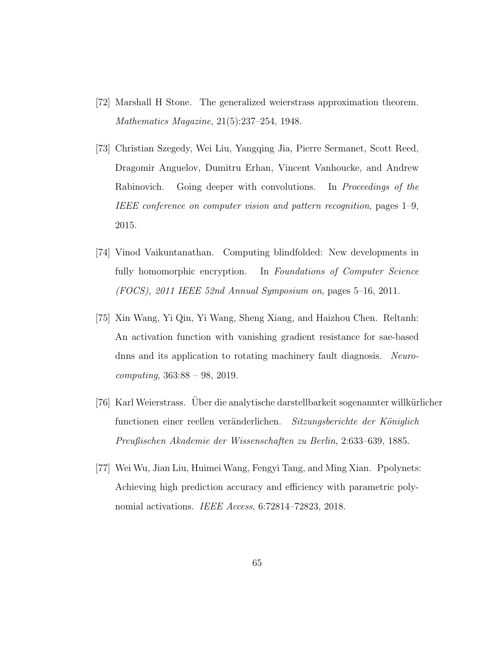- [72] Marshall H Stone. The generalized weierstrass approximation theorem. Mathematics Magazine, 21(5):237–254, 1948.
- [73] Christian Szegedy, Wei Liu, Yangqing Jia, Pierre Sermanet, Scott Reed, Dragomir Anguelov, Dumitru Erhan, Vincent Vanhoucke, and Andrew Rabinovich. Going deeper with convolutions. In *Proceedings of the* IEEE conference on computer vision and pattern recognition, pages 1–9, 2015.
- [74] Vinod Vaikuntanathan. Computing blindfolded: New developments in fully homomorphic encryption. In Foundations of Computer Science (FOCS), 2011 IEEE 52nd Annual Symposium on, pages  $5-16$ , 2011.
- [75] Xin Wang, Yi Qin, Yi Wang, Sheng Xiang, and Haizhou Chen. Reltanh: An activation function with vanishing gradient resistance for sae-based dnns and its application to rotating machinery fault diagnosis. Neurocomputing, 363:88 – 98, 2019.
- [76] Karl Weierstrass. Uber die analytische darstellbarkeit sogenannter willkürlicher functionen einer reellen veränderlichen. Sitzungsberichte der Königlich Preußischen Akademie der Wissenschaften zu Berlin, 2:633–639, 1885.
- [77] Wei Wu, Jian Liu, Huimei Wang, Fengyi Tang, and Ming Xian. Ppolynets: Achieving high prediction accuracy and efficiency with parametric polynomial activations. IEEE Access, 6:72814–72823, 2018.